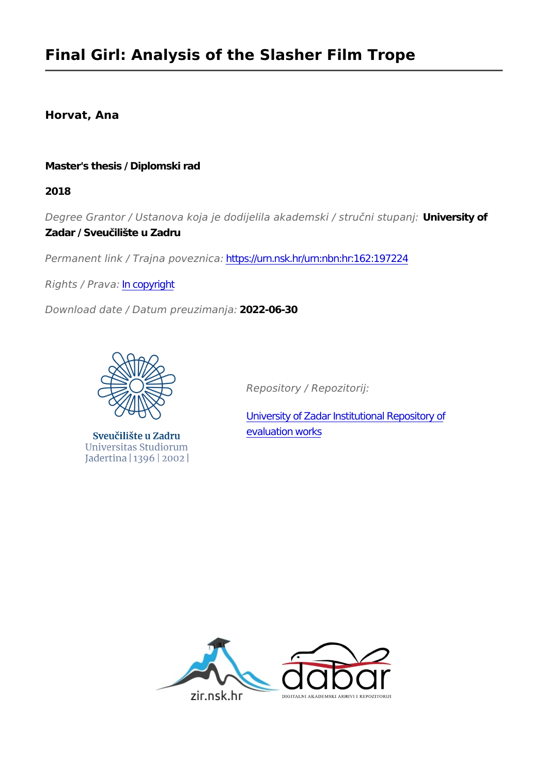## **Horvat, Ana**

### **Master's thesis / Diplomski rad**

**2018**

*Degree Grantor / Ustanova koja je dodijelila akademski / stručni stupanj:* **University of Zadar / Sveučilište u Zadru**

*Permanent link / Trajna poveznica:* <https://urn.nsk.hr/urn:nbn:hr:162:197224>

*Rights / Prava:* [In copyright](http://rightsstatements.org/vocab/InC/1.0/)

*Download date / Datum preuzimanja:* **2022-06-30**



Sveučilište u Zadru Universitas Studiorum Jadertina | 1396 | 2002 |

*Repository / Repozitorij:*

[University of Zadar Institutional Repository of](https://repozitorij.unizd.hr) [evaluation works](https://repozitorij.unizd.hr)

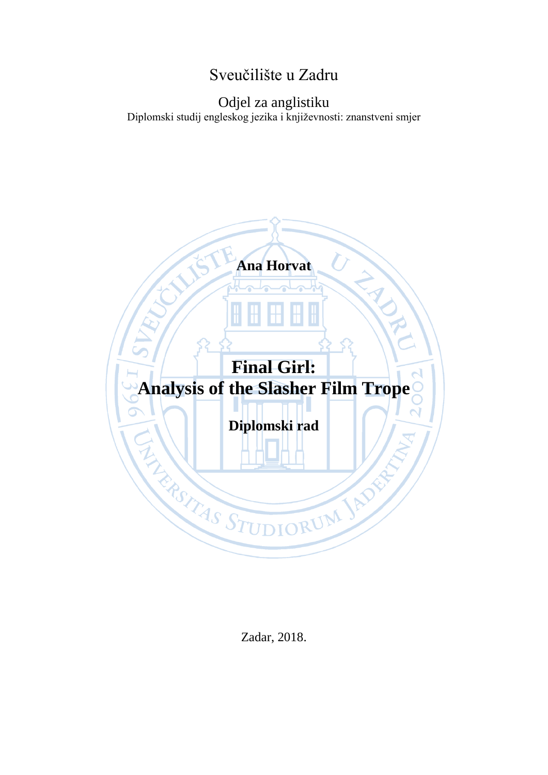# Sveučilište u Zadru

## Odjel za anglistiku Diplomski studij engleskog jezika i književnosti: znanstveni smjer



Zadar, 2018.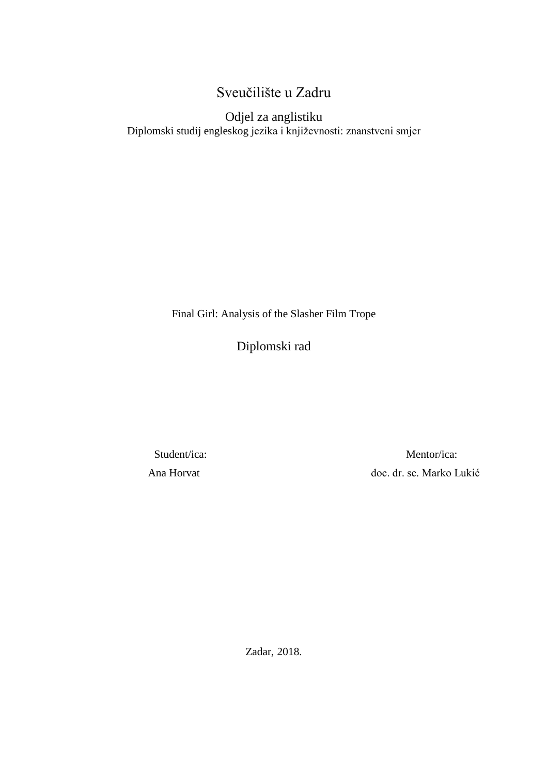# Sveučilište u Zadru

Odjel za anglistiku Diplomski studij engleskog jezika i književnosti: znanstveni smjer

Final Girl: Analysis of the Slasher Film Trope

Diplomski rad

Student/ica: Ana Horvat

Mentor/ica: doc. dr. sc. Marko Lukić

Zadar, 2018.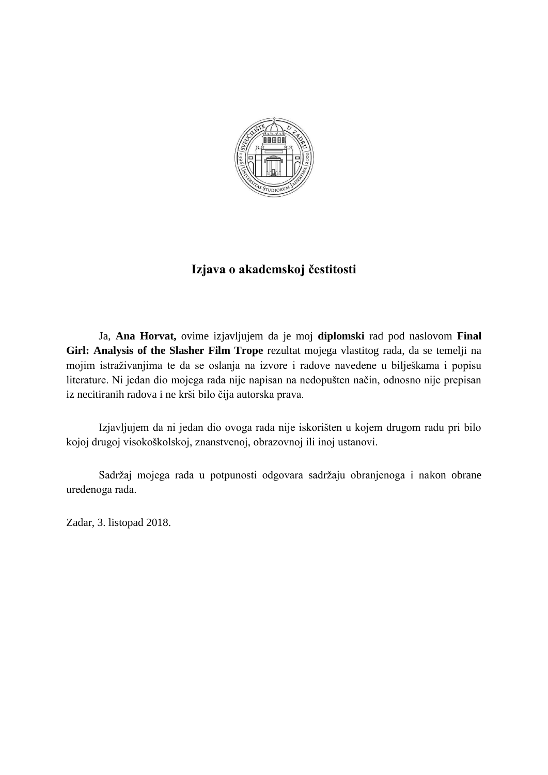

# **Izjava o akademskoj čestitosti**

Ja, **Ana Horvat,** ovime izjavljujem da je moj **diplomski** rad pod naslovom **Final Girl: Analysis of the Slasher Film Trope** rezultat mojega vlastitog rada, da se temelji na mojim istraživanjima te da se oslanja na izvore i radove navedene u bilješkama i popisu literature. Ni jedan dio mojega rada nije napisan na nedopušten način, odnosno nije prepisan iz necitiranih radova i ne krši bilo čija autorska prava.

Izjavljujem da ni jedan dio ovoga rada nije iskorišten u kojem drugom radu pri bilo kojoj drugoj visokoškolskoj, znanstvenoj, obrazovnoj ili inoj ustanovi.

Sadržaj mojega rada u potpunosti odgovara sadržaju obranjenoga i nakon obrane uređenoga rada.

Zadar, 3. listopad 2018.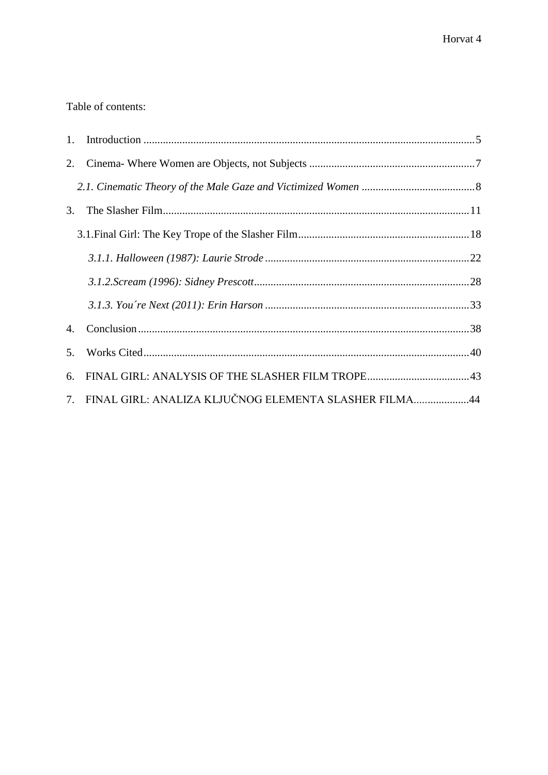Table of contents:

| 1. |                                                          |  |
|----|----------------------------------------------------------|--|
| 2. |                                                          |  |
|    |                                                          |  |
| 3. |                                                          |  |
|    |                                                          |  |
|    |                                                          |  |
|    |                                                          |  |
|    |                                                          |  |
| 4. |                                                          |  |
| 5. |                                                          |  |
| 6. |                                                          |  |
|    | 7. FINAL GIRL: ANALIZA KLJUČNOG ELEMENTA SLASHER FILMA44 |  |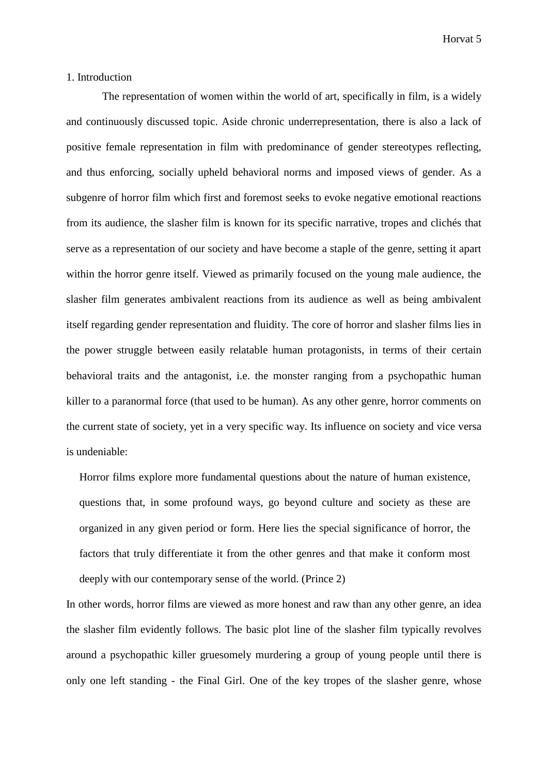Horvat 5

#### 1. Introduction

The representation of women within the world of art, specifically in film, is a widely and continuously discussed topic. Aside chronic underrepresentation, there is also a lack of positive female representation in film with predominance of gender stereotypes reflecting, and thus enforcing, socially upheld behavioral norms and imposed views of gender. As a subgenre of horror film which first and foremost seeks to evoke negative emotional reactions from its audience, the slasher film is known for its specific narrative, tropes and clichés that serve as a representation of our society and have become a staple of the genre, setting it apart within the horror genre itself. Viewed as primarily focused on the young male audience, the slasher film generates ambivalent reactions from its audience as well as being ambivalent itself regarding gender representation and fluidity. The core of horror and slasher films lies in the power struggle between easily relatable human protagonists, in terms of their certain behavioral traits and the antagonist, i.e. the monster ranging from a psychopathic human killer to a paranormal force (that used to be human). As any other genre, horror comments on the current state of society, yet in a very specific way. Its influence on society and vice versa is undeniable:

Horror films explore more fundamental questions about the nature of human existence, questions that, in some profound ways, go beyond culture and society as these are organized in any given period or form. Here lies the special significance of horror, the factors that truly differentiate it from the other genres and that make it conform most deeply with our contemporary sense of the world. (Prince 2)

In other words, horror films are viewed as more honest and raw than any other genre, an idea the slasher film evidently follows. The basic plot line of the slasher film typically revolves around a psychopathic killer gruesomely murdering a group of young people until there is only one left standing - the Final Girl. One of the key tropes of the slasher genre, whose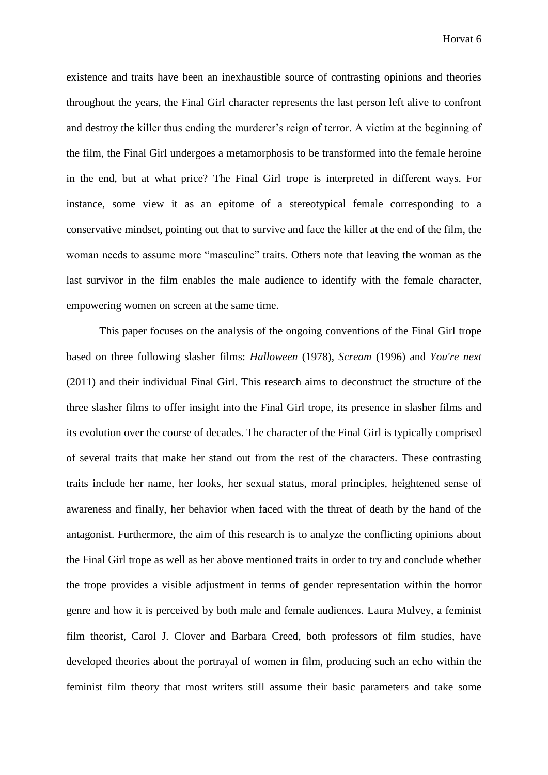existence and traits have been an inexhaustible source of contrasting opinions and theories throughout the years, the Final Girl character represents the last person left alive to confront and destroy the killer thus ending the murderer's reign of terror. A victim at the beginning of the film, the Final Girl undergoes a metamorphosis to be transformed into the female heroine in the end, but at what price? The Final Girl trope is interpreted in different ways. For instance, some view it as an epitome of a stereotypical female corresponding to a conservative mindset, pointing out that to survive and face the killer at the end of the film, the woman needs to assume more "masculine" traits. Others note that leaving the woman as the last survivor in the film enables the male audience to identify with the female character, empowering women on screen at the same time.

This paper focuses on the analysis of the ongoing conventions of the Final Girl trope based on three following slasher films: *Halloween* (1978), *Scream* (1996) and *You're next*  (2011) and their individual Final Girl. This research aims to deconstruct the structure of the three slasher films to offer insight into the Final Girl trope, its presence in slasher films and its evolution over the course of decades. The character of the Final Girl is typically comprised of several traits that make her stand out from the rest of the characters. These contrasting traits include her name, her looks, her sexual status, moral principles, heightened sense of awareness and finally, her behavior when faced with the threat of death by the hand of the antagonist. Furthermore, the aim of this research is to analyze the conflicting opinions about the Final Girl trope as well as her above mentioned traits in order to try and conclude whether the trope provides a visible adjustment in terms of gender representation within the horror genre and how it is perceived by both male and female audiences. Laura Mulvey, a feminist film theorist, Carol J. Clover and Barbara Creed, both professors of film studies, have developed theories about the portrayal of women in film, producing such an echo within the feminist film theory that most writers still assume their basic parameters and take some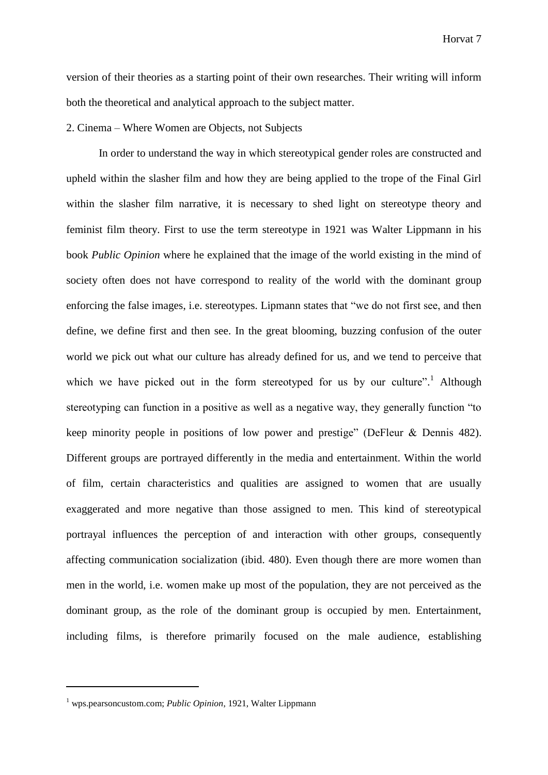version of their theories as a starting point of their own researches. Their writing will inform both the theoretical and analytical approach to the subject matter.

#### 2. Cinema – Where Women are Objects, not Subjects

In order to understand the way in which stereotypical gender roles are constructed and upheld within the slasher film and how they are being applied to the trope of the Final Girl within the slasher film narrative, it is necessary to shed light on stereotype theory and feminist film theory. First to use the term stereotype in 1921 was Walter Lippmann in his book *Public Opinion* where he explained that the image of the world existing in the mind of society often does not have correspond to reality of the world with the dominant group enforcing the false images, i.e. stereotypes. Lipmann states that "we do not first see, and then define, we define first and then see. In the great blooming, buzzing confusion of the outer world we pick out what our culture has already defined for us, and we tend to perceive that which we have picked out in the form stereotyped for us by our culture".<sup>1</sup> Although stereotyping can function in a positive as well as a negative way, they generally function "to keep minority people in positions of low power and prestige" (DeFleur & Dennis 482). Different groups are portrayed differently in the media and entertainment. Within the world of film, certain characteristics and qualities are assigned to women that are usually exaggerated and more negative than those assigned to men. This kind of stereotypical portrayal influences the perception of and interaction with other groups, consequently affecting communication socialization (ibid. 480). Even though there are more women than men in the world, i.e. women make up most of the population, they are not perceived as the dominant group, as the role of the dominant group is occupied by men. Entertainment, including films, is therefore primarily focused on the male audience, establishing

1

<sup>1</sup> wps.pearsoncustom.com; *Public Opinion*, 1921, Walter Lippmann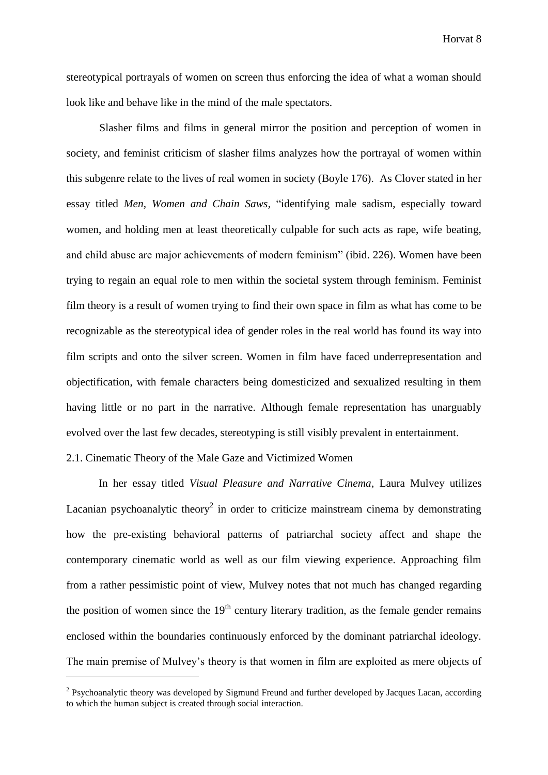stereotypical portrayals of women on screen thus enforcing the idea of what a woman should look like and behave like in the mind of the male spectators.

Slasher films and films in general mirror the position and perception of women in society, and feminist criticism of slasher films analyzes how the portrayal of women within this subgenre relate to the lives of real women in society (Boyle 176). As Clover stated in her essay titled *Men, Women and Chain Saws,* "identifying male sadism, especially toward women, and holding men at least theoretically culpable for such acts as rape, wife beating, and child abuse are major achievements of modern feminism" (ibid. 226). Women have been trying to regain an equal role to men within the societal system through feminism. Feminist film theory is a result of women trying to find their own space in film as what has come to be recognizable as the stereotypical idea of gender roles in the real world has found its way into film scripts and onto the silver screen. Women in film have faced underrepresentation and objectification, with female characters being domesticized and sexualized resulting in them having little or no part in the narrative. Although female representation has unarguably evolved over the last few decades, stereotyping is still visibly prevalent in entertainment.

2.1. Cinematic Theory of the Male Gaze and Victimized Women

<u>.</u>

In her essay titled *Visual Pleasure and Narrative Cinema*, Laura Mulvey utilizes Lacanian psychoanalytic theory<sup>2</sup> in order to criticize mainstream cinema by demonstrating how the pre-existing behavioral patterns of patriarchal society affect and shape the contemporary cinematic world as well as our film viewing experience. Approaching film from a rather pessimistic point of view, Mulvey notes that not much has changed regarding the position of women since the  $19<sup>th</sup>$  century literary tradition, as the female gender remains enclosed within the boundaries continuously enforced by the dominant patriarchal ideology. The main premise of Mulvey's theory is that women in film are exploited as mere objects of

 $2$  Psychoanalytic theory was developed by Sigmund Freund and further developed by Jacques Lacan, according to which the human subject is created through social interaction.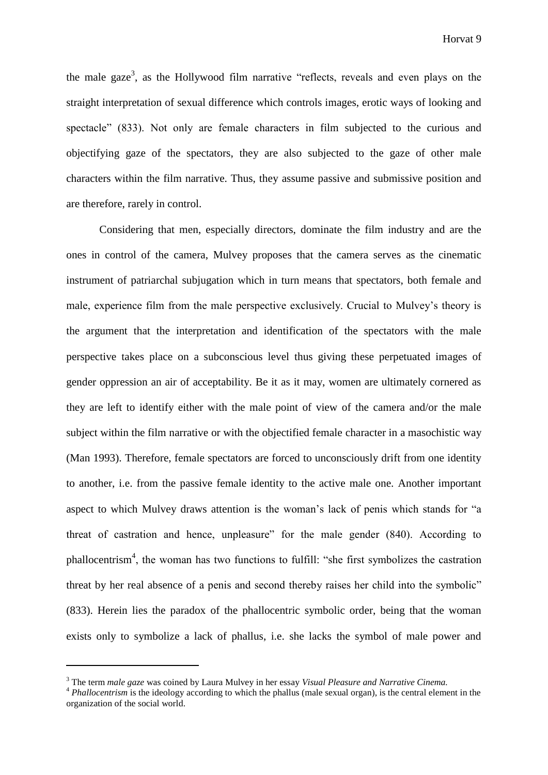the male gaze<sup>3</sup>, as the Hollywood film narrative "reflects, reveals and even plays on the straight interpretation of sexual difference which controls images, erotic ways of looking and spectacle" (833). Not only are female characters in film subjected to the curious and objectifying gaze of the spectators, they are also subjected to the gaze of other male characters within the film narrative. Thus, they assume passive and submissive position and are therefore, rarely in control.

Considering that men, especially directors, dominate the film industry and are the ones in control of the camera, Mulvey proposes that the camera serves as the cinematic instrument of patriarchal subjugation which in turn means that spectators, both female and male, experience film from the male perspective exclusively. Crucial to Mulvey's theory is the argument that the interpretation and identification of the spectators with the male perspective takes place on a subconscious level thus giving these perpetuated images of gender oppression an air of acceptability. Be it as it may, women are ultimately cornered as they are left to identify either with the male point of view of the camera and/or the male subject within the film narrative or with the objectified female character in a masochistic way (Man 1993). Therefore, female spectators are forced to unconsciously drift from one identity to another, i.e. from the passive female identity to the active male one. Another important aspect to which Mulvey draws attention is the woman's lack of penis which stands for "a threat of castration and hence, unpleasure" for the male gender (840). According to phallocentrism<sup>4</sup>, the woman has two functions to fulfill: "she first symbolizes the castration threat by her real absence of a penis and second thereby raises her child into the symbolic" (833). Herein lies the paradox of the phallocentric symbolic order, being that the woman exists only to symbolize a lack of phallus, i.e. she lacks the symbol of male power and

1

<sup>3</sup> The term *male gaze* was coined by Laura Mulvey in her essay *Visual Pleasure and Narrative Cinema.*

<sup>&</sup>lt;sup>4</sup> *Phallocentrism* is the ideology according to which the phallus (male sexual organ), is the central element in the organization of the social world.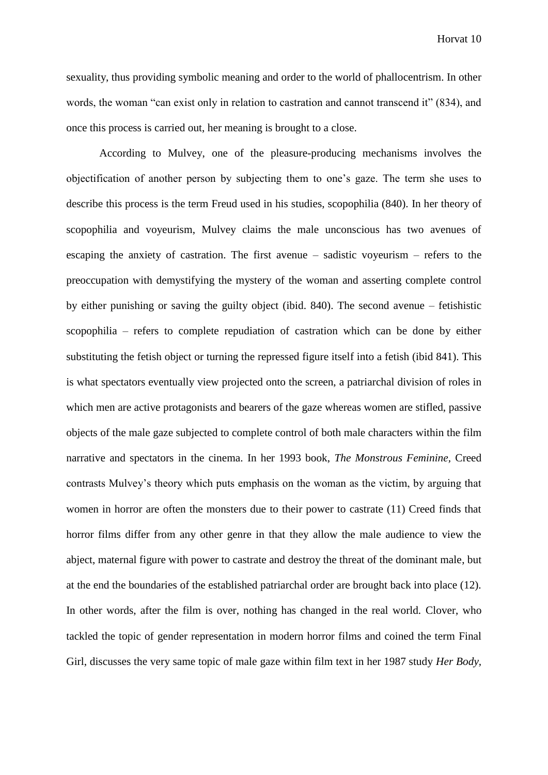sexuality, thus providing symbolic meaning and order to the world of phallocentrism. In other words, the woman "can exist only in relation to castration and cannot transcend it" (834), and once this process is carried out, her meaning is brought to a close.

According to Mulvey, one of the pleasure-producing mechanisms involves the objectification of another person by subjecting them to one's gaze. The term she uses to describe this process is the term Freud used in his studies, scopophilia (840). In her theory of scopophilia and voyeurism, Mulvey claims the male unconscious has two avenues of escaping the anxiety of castration. The first avenue – sadistic voyeurism – refers to the preoccupation with demystifying the mystery of the woman and asserting complete control by either punishing or saving the guilty object (ibid. 840). The second avenue – fetishistic scopophilia – refers to complete repudiation of castration which can be done by either substituting the fetish object or turning the repressed figure itself into a fetish (ibid 841). This is what spectators eventually view projected onto the screen, a patriarchal division of roles in which men are active protagonists and bearers of the gaze whereas women are stifled, passive objects of the male gaze subjected to complete control of both male characters within the film narrative and spectators in the cinema. In her 1993 book, *The Monstrous Feminine,* Creed contrasts Mulvey's theory which puts emphasis on the woman as the victim, by arguing that women in horror are often the monsters due to their power to castrate (11) Creed finds that horror films differ from any other genre in that they allow the male audience to view the abject, maternal figure with power to castrate and destroy the threat of the dominant male, but at the end the boundaries of the established patriarchal order are brought back into place (12). In other words, after the film is over, nothing has changed in the real world. Clover, who tackled the topic of gender representation in modern horror films and coined the term Final Girl, discusses the very same topic of male gaze within film text in her 1987 study *Her Body,*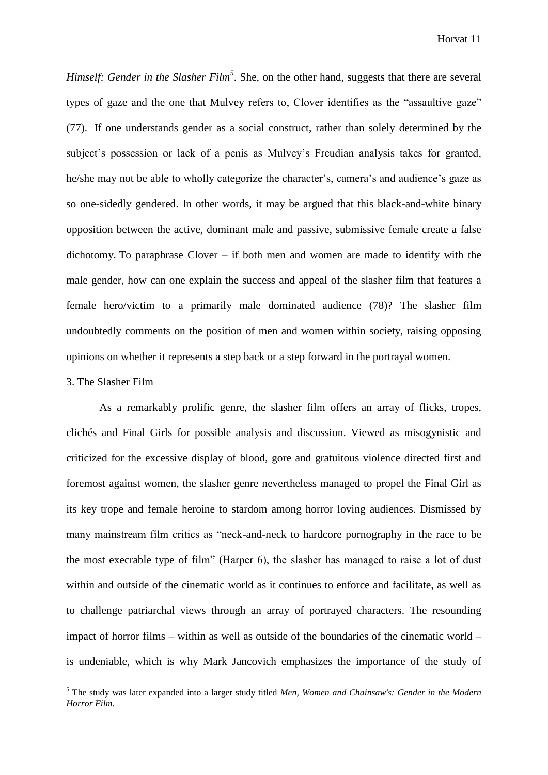*Himself: Gender in the Slasher Film<sup>5</sup>*. She, on the other hand, suggests that there are several types of gaze and the one that Mulvey refers to, Clover identifies as the "assaultive gaze" (77). If one understands gender as a social construct, rather than solely determined by the subject's possession or lack of a penis as Mulvey's Freudian analysis takes for granted, he/she may not be able to wholly categorize the character's, camera's and audience's gaze as so one-sidedly gendered. In other words, it may be argued that this black-and-white binary opposition between the active, dominant male and passive, submissive female create a false dichotomy. To paraphrase Clover – if both men and women are made to identify with the male gender, how can one explain the success and appeal of the slasher film that features a female hero/victim to a primarily male dominated audience (78)? The slasher film undoubtedly comments on the position of men and women within society, raising opposing opinions on whether it represents a step back or a step forward in the portrayal women.

#### 3. The Slasher Film

<u>.</u>

As a remarkably prolific genre, the slasher film offers an array of flicks, tropes, clichés and Final Girls for possible analysis and discussion. Viewed as misogynistic and criticized for the excessive display of blood, gore and gratuitous violence directed first and foremost against women, the slasher genre nevertheless managed to propel the Final Girl as its key trope and female heroine to stardom among horror loving audiences. Dismissed by many mainstream film critics as "neck-and-neck to hardcore pornography in the race to be the most execrable type of film" (Harper 6), the slasher has managed to raise a lot of dust within and outside of the cinematic world as it continues to enforce and facilitate, as well as to challenge patriarchal views through an array of portrayed characters. The resounding impact of horror films – within as well as outside of the boundaries of the cinematic world – is undeniable, which is why Mark Jancovich emphasizes the importance of the study of

<sup>5</sup> The study was later expanded into a larger study titled *Men, Women and Chainsaw's: Gender in the Modern Horror Film*.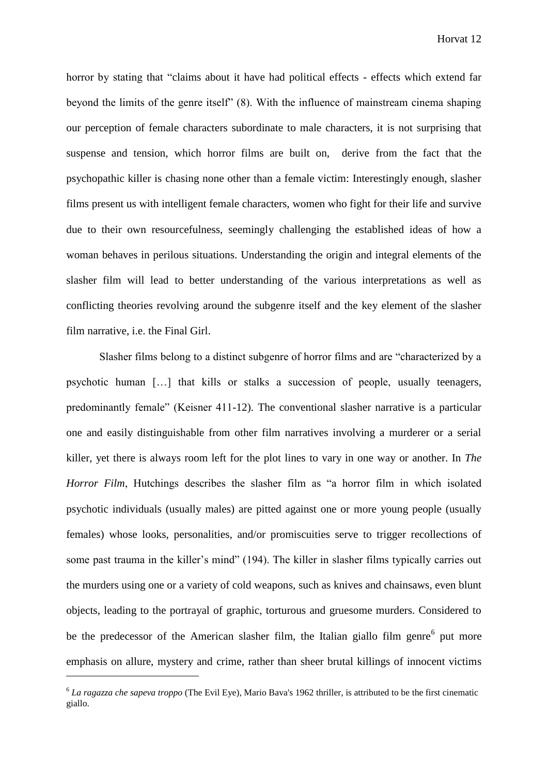horror by stating that "claims about it have had political effects - effects which extend far beyond the limits of the genre itself" (8). With the influence of mainstream cinema shaping our perception of female characters subordinate to male characters, it is not surprising that suspense and tension, which horror films are built on, derive from the fact that the psychopathic killer is chasing none other than a female victim: Interestingly enough, slasher films present us with intelligent female characters, women who fight for their life and survive due to their own resourcefulness, seemingly challenging the established ideas of how a woman behaves in perilous situations. Understanding the origin and integral elements of the slasher film will lead to better understanding of the various interpretations as well as conflicting theories revolving around the subgenre itself and the key element of the slasher film narrative, i.e. the Final Girl.

Slasher films belong to a distinct subgenre of horror films and are "characterized by a psychotic human […] that kills or stalks a succession of people, usually teenagers, predominantly female" (Keisner 411-12). The conventional slasher narrative is a particular one and easily distinguishable from other film narratives involving a murderer or a serial killer, yet there is always room left for the plot lines to vary in one way or another. In *The Horror Film*, Hutchings describes the slasher film as "a horror film in which isolated psychotic individuals (usually males) are pitted against one or more young people (usually females) whose looks, personalities, and/or promiscuities serve to trigger recollections of some past trauma in the killer's mind" (194). The killer in slasher films typically carries out the murders using one or a variety of cold weapons, such as knives and chainsaws, even blunt objects, leading to the portrayal of graphic, torturous and gruesome murders. Considered to be the predecessor of the American slasher film, the Italian giallo film genre<sup>6</sup> put more emphasis on allure, mystery and crime, rather than sheer brutal killings of innocent victims

<u>.</u>

<sup>6</sup> *La ragazza che sapeva troppo* (The Evil Eye), Mario Bava's 1962 thriller, is attributed to be the first cinematic giallo.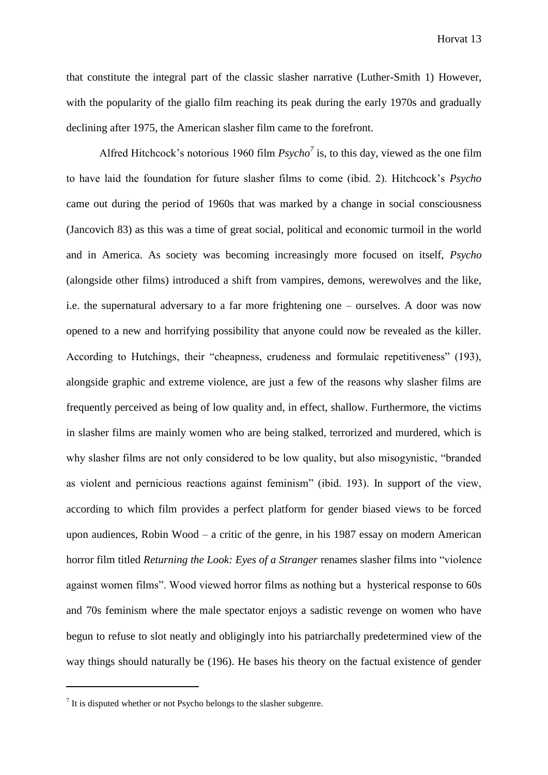that constitute the integral part of the classic slasher narrative (Luther-Smith 1) However, with the popularity of the giallo film reaching its peak during the early 1970s and gradually declining after 1975, the American slasher film came to the forefront.

Alfred Hitchcock's notorious 1960 film  $P<sub>sycho</sub><sup>7</sup>$  is, to this day, viewed as the one film to have laid the foundation for future slasher films to come (ibid. 2). Hitchcock's *Psycho* came out during the period of 1960s that was marked by a change in social consciousness (Jancovich 83) as this was a time of great social, political and economic turmoil in the world and in America. As society was becoming increasingly more focused on itself, *Psycho*  (alongside other films) introduced a shift from vampires, demons, werewolves and the like, i.e. the supernatural adversary to a far more frightening one – ourselves. A door was now opened to a new and horrifying possibility that anyone could now be revealed as the killer. According to Hutchings, their "cheapness, crudeness and formulaic repetitiveness" (193), alongside graphic and extreme violence, are just a few of the reasons why slasher films are frequently perceived as being of low quality and, in effect, shallow. Furthermore, the victims in slasher films are mainly women who are being stalked, terrorized and murdered, which is why slasher films are not only considered to be low quality, but also misogynistic, "branded as violent and pernicious reactions against feminism" (ibid. 193). In support of the view, according to which film provides a perfect platform for gender biased views to be forced upon audiences, Robin Wood – a critic of the genre, in his 1987 essay on modern American horror film titled *Returning the Look: Eyes of a Stranger* renames slasher films into "violence against women films". Wood viewed horror films as nothing but a hysterical response to 60s and 70s feminism where the male spectator enjoys a sadistic revenge on women who have begun to refuse to slot neatly and obligingly into his patriarchally predetermined view of the way things should naturally be (196). He bases his theory on the factual existence of gender

1

 $<sup>7</sup>$  It is disputed whether or not Psycho belongs to the slasher subgenre.</sup>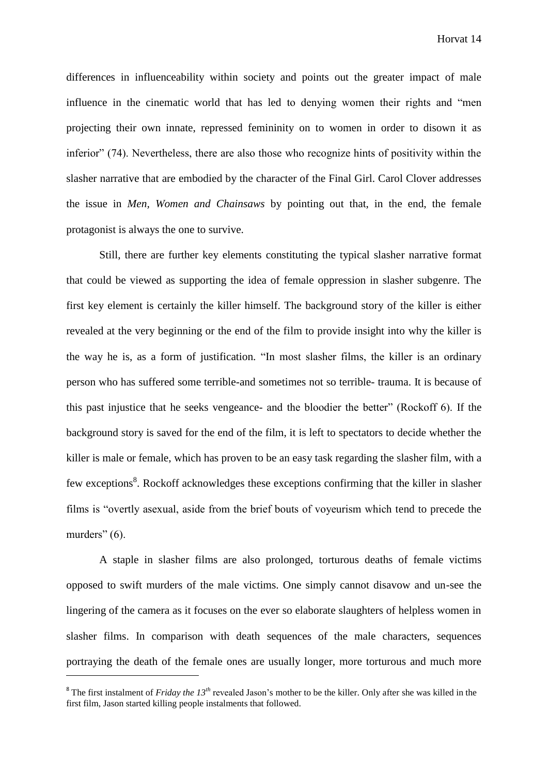differences in influenceability within society and points out the greater impact of male influence in the cinematic world that has led to denying women their rights and "men projecting their own innate, repressed femininity on to women in order to disown it as inferior" (74). Nevertheless, there are also those who recognize hints of positivity within the slasher narrative that are embodied by the character of the Final Girl. Carol Clover addresses the issue in *Men, Women and Chainsaws* by pointing out that, in the end, the female protagonist is always the one to survive.

Still, there are further key elements constituting the typical slasher narrative format that could be viewed as supporting the idea of female oppression in slasher subgenre. The first key element is certainly the killer himself. The background story of the killer is either revealed at the very beginning or the end of the film to provide insight into why the killer is the way he is, as a form of justification. "In most slasher films, the killer is an ordinary person who has suffered some terrible-and sometimes not so terrible- trauma. It is because of this past injustice that he seeks vengeance- and the bloodier the better" (Rockoff 6). If the background story is saved for the end of the film, it is left to spectators to decide whether the killer is male or female, which has proven to be an easy task regarding the slasher film, with a few exceptions<sup>8</sup>. Rockoff acknowledges these exceptions confirming that the killer in slasher films is "overtly asexual, aside from the brief bouts of voyeurism which tend to precede the murders" (6).

A staple in slasher films are also prolonged, torturous deaths of female victims opposed to swift murders of the male victims. One simply cannot disavow and un-see the lingering of the camera as it focuses on the ever so elaborate slaughters of helpless women in slasher films. In comparison with death sequences of the male characters, sequences portraying the death of the female ones are usually longer, more torturous and much more

<u>.</u>

<sup>&</sup>lt;sup>8</sup> The first instalment of *Friday the 13<sup>th</sup>* revealed Jason's mother to be the killer. Only after she was killed in the first film, Jason started killing people instalments that followed.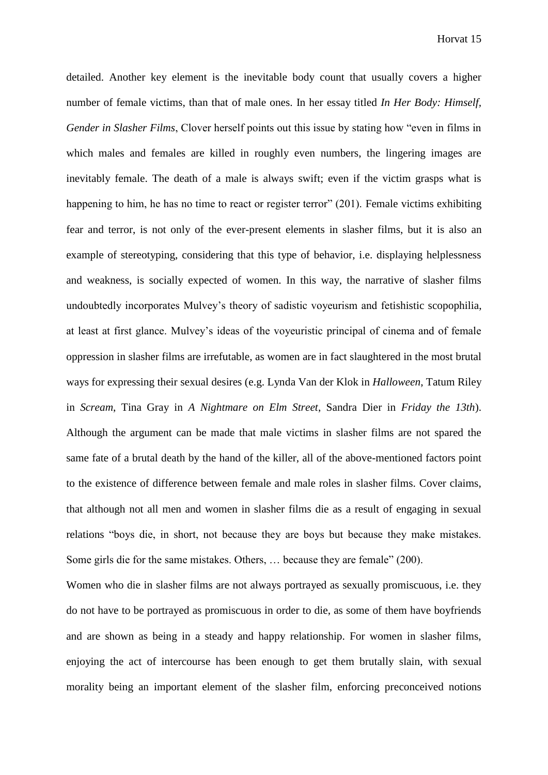detailed. Another key element is the inevitable body count that usually covers a higher number of female victims, than that of male ones. In her essay titled *In Her Body: Himself, Gender in Slasher Films*, Clover herself points out this issue by stating how "even in films in which males and females are killed in roughly even numbers, the lingering images are inevitably female. The death of a male is always swift; even if the victim grasps what is happening to him, he has no time to react or register terror" (201). Female victims exhibiting fear and terror, is not only of the ever-present elements in slasher films, but it is also an example of stereotyping, considering that this type of behavior, i.e. displaying helplessness and weakness, is socially expected of women. In this way, the narrative of slasher films undoubtedly incorporates Mulvey's theory of sadistic voyeurism and fetishistic scopophilia, at least at first glance. Mulvey's ideas of the voyeuristic principal of cinema and of female oppression in slasher films are irrefutable, as women are in fact slaughtered in the most brutal ways for expressing their sexual desires (e.g. Lynda Van der Klok in *Halloween*, Tatum Riley in *Scream*, Tina Gray in *A Nightmare on Elm Street*, Sandra Dier in *Friday the 13th*). Although the argument can be made that male victims in slasher films are not spared the same fate of a brutal death by the hand of the killer, all of the above-mentioned factors point to the existence of difference between female and male roles in slasher films. Cover claims, that although not all men and women in slasher films die as a result of engaging in sexual relations "boys die, in short, not because they are boys but because they make mistakes. Some girls die for the same mistakes. Others, … because they are female" (200).

Women who die in slasher films are not always portrayed as sexually promiscuous, i.e. they do not have to be portrayed as promiscuous in order to die, as some of them have boyfriends and are shown as being in a steady and happy relationship. For women in slasher films, enjoying the act of intercourse has been enough to get them brutally slain, with sexual morality being an important element of the slasher film, enforcing preconceived notions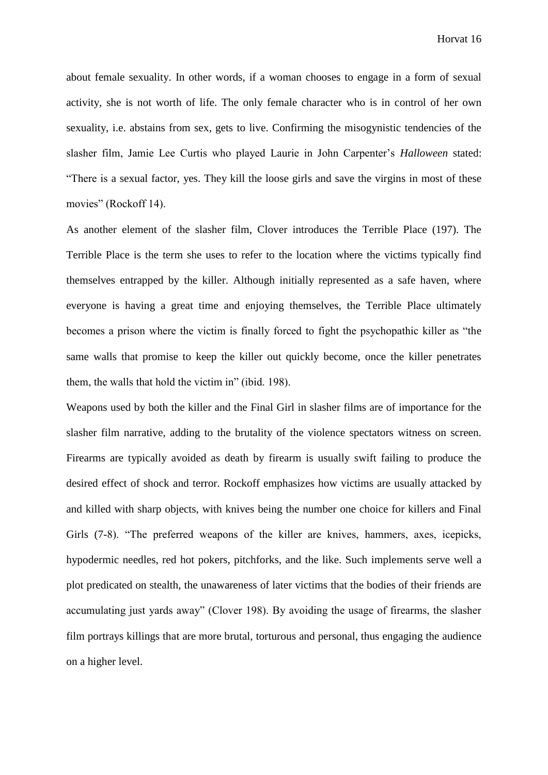about female sexuality. In other words, if a woman chooses to engage in a form of sexual activity, she is not worth of life. The only female character who is in control of her own sexuality, i.e. abstains from sex, gets to live. Confirming the misogynistic tendencies of the slasher film, Jamie Lee Curtis who played Laurie in John Carpenter's *Halloween* stated: "There is a sexual factor, yes. They kill the loose girls and save the virgins in most of these movies" (Rockoff 14).

As another element of the slasher film, Clover introduces the Terrible Place (197). The Terrible Place is the term she uses to refer to the location where the victims typically find themselves entrapped by the killer. Although initially represented as a safe haven, where everyone is having a great time and enjoying themselves, the Terrible Place ultimately becomes a prison where the victim is finally forced to fight the psychopathic killer as "the same walls that promise to keep the killer out quickly become, once the killer penetrates them, the walls that hold the victim in" (ibid. 198).

Weapons used by both the killer and the Final Girl in slasher films are of importance for the slasher film narrative, adding to the brutality of the violence spectators witness on screen. Firearms are typically avoided as death by firearm is usually swift failing to produce the desired effect of shock and terror. Rockoff emphasizes how victims are usually attacked by and killed with sharp objects, with knives being the number one choice for killers and Final Girls (7-8). "The preferred weapons of the killer are knives, hammers, axes, icepicks, hypodermic needles, red hot pokers, pitchforks, and the like. Such implements serve well a plot predicated on stealth, the unawareness of later victims that the bodies of their friends are accumulating just yards away" (Clover 198). By avoiding the usage of firearms, the slasher film portrays killings that are more brutal, torturous and personal, thus engaging the audience on a higher level.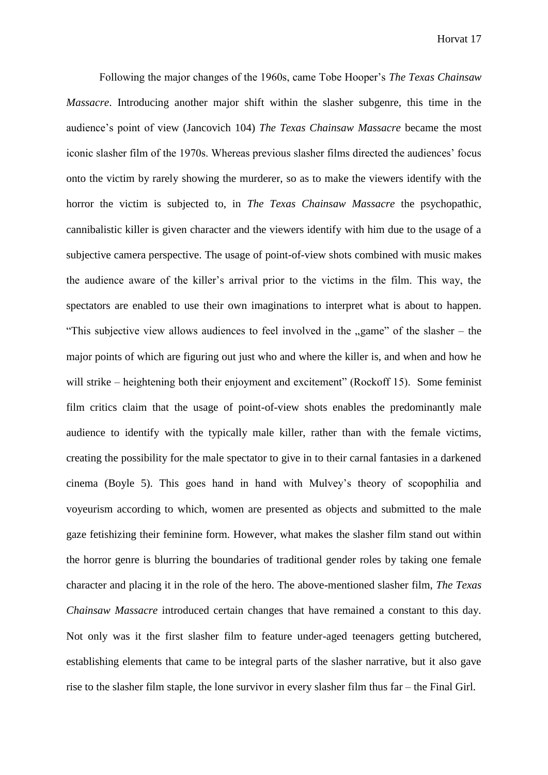Following the major changes of the 1960s, came Tobe Hooper's *The Texas Chainsaw Massacre*. Introducing another major shift within the slasher subgenre, this time in the audience's point of view (Jancovich 104) *The Texas Chainsaw Massacre* became the most iconic slasher film of the 1970s. Whereas previous slasher films directed the audiences' focus onto the victim by rarely showing the murderer, so as to make the viewers identify with the horror the victim is subjected to, in *The Texas Chainsaw Massacre* the psychopathic, cannibalistic killer is given character and the viewers identify with him due to the usage of a subjective camera perspective. The usage of point-of-view shots combined with music makes the audience aware of the killer's arrival prior to the victims in the film. This way, the spectators are enabled to use their own imaginations to interpret what is about to happen. "This subjective view allows audiences to feel involved in the  $\alpha$  game" of the slasher – the major points of which are figuring out just who and where the killer is, and when and how he will strike – heightening both their enjoyment and excitement" (Rockoff 15). Some feminist film critics claim that the usage of point-of-view shots enables the predominantly male audience to identify with the typically male killer, rather than with the female victims, creating the possibility for the male spectator to give in to their carnal fantasies in a darkened cinema (Boyle 5). This goes hand in hand with Mulvey's theory of scopophilia and voyeurism according to which, women are presented as objects and submitted to the male gaze fetishizing their feminine form. However, what makes the slasher film stand out within the horror genre is blurring the boundaries of traditional gender roles by taking one female character and placing it in the role of the hero. The above-mentioned slasher film, *The Texas Chainsaw Massacre* introduced certain changes that have remained a constant to this day. Not only was it the first slasher film to feature under-aged teenagers getting butchered, establishing elements that came to be integral parts of the slasher narrative, but it also gave rise to the slasher film staple, the lone survivor in every slasher film thus far – the Final Girl.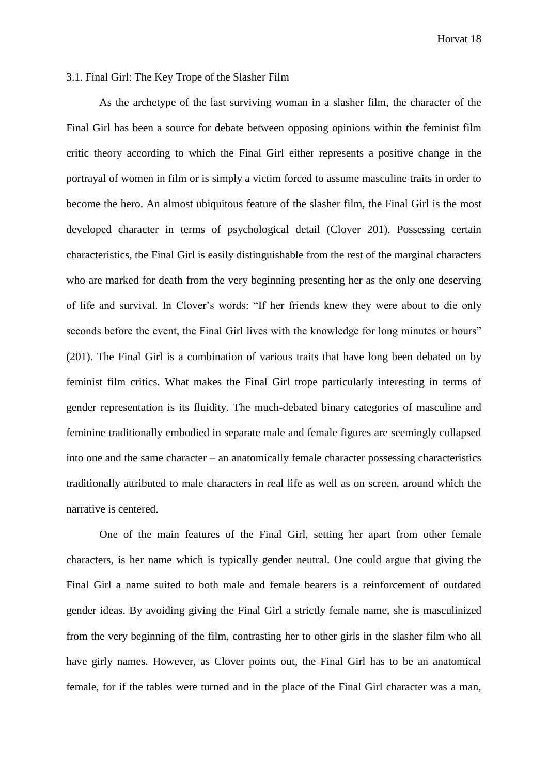Horvat 18

#### 3.1. Final Girl: The Key Trope of the Slasher Film

As the archetype of the last surviving woman in a slasher film, the character of the Final Girl has been a source for debate between opposing opinions within the feminist film critic theory according to which the Final Girl either represents a positive change in the portrayal of women in film or is simply a victim forced to assume masculine traits in order to become the hero. An almost ubiquitous feature of the slasher film, the Final Girl is the most developed character in terms of psychological detail (Clover 201). Possessing certain characteristics, the Final Girl is easily distinguishable from the rest of the marginal characters who are marked for death from the very beginning presenting her as the only one deserving of life and survival. In Clover's words: "If her friends knew they were about to die only seconds before the event, the Final Girl lives with the knowledge for long minutes or hours" (201). The Final Girl is a combination of various traits that have long been debated on by feminist film critics. What makes the Final Girl trope particularly interesting in terms of gender representation is its fluidity. The much-debated binary categories of masculine and feminine traditionally embodied in separate male and female figures are seemingly collapsed into one and the same character – an anatomically female character possessing characteristics traditionally attributed to male characters in real life as well as on screen, around which the narrative is centered.

One of the main features of the Final Girl, setting her apart from other female characters, is her name which is typically gender neutral. One could argue that giving the Final Girl a name suited to both male and female bearers is a reinforcement of outdated gender ideas. By avoiding giving the Final Girl a strictly female name, she is masculinized from the very beginning of the film, contrasting her to other girls in the slasher film who all have girly names. However, as Clover points out, the Final Girl has to be an anatomical female, for if the tables were turned and in the place of the Final Girl character was a man,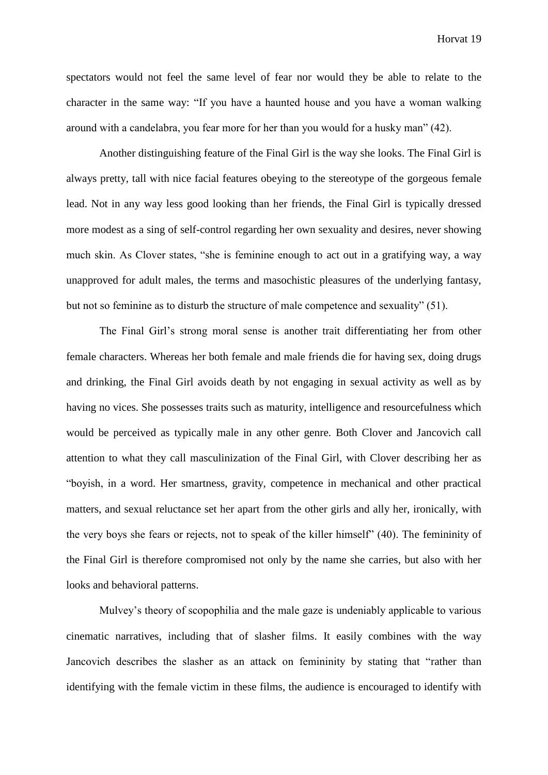Horvat 19

spectators would not feel the same level of fear nor would they be able to relate to the character in the same way: "If you have a haunted house and you have a woman walking around with a candelabra, you fear more for her than you would for a husky man" (42).

Another distinguishing feature of the Final Girl is the way she looks. The Final Girl is always pretty, tall with nice facial features obeying to the stereotype of the gorgeous female lead. Not in any way less good looking than her friends, the Final Girl is typically dressed more modest as a sing of self-control regarding her own sexuality and desires, never showing much skin. As Clover states, "she is feminine enough to act out in a gratifying way, a way unapproved for adult males, the terms and masochistic pleasures of the underlying fantasy, but not so feminine as to disturb the structure of male competence and sexuality" (51).

The Final Girl's strong moral sense is another trait differentiating her from other female characters. Whereas her both female and male friends die for having sex, doing drugs and drinking, the Final Girl avoids death by not engaging in sexual activity as well as by having no vices. She possesses traits such as maturity, intelligence and resourcefulness which would be perceived as typically male in any other genre. Both Clover and Jancovich call attention to what they call masculinization of the Final Girl, with Clover describing her as "boyish, in a word. Her smartness, gravity, competence in mechanical and other practical matters, and sexual reluctance set her apart from the other girls and ally her, ironically, with the very boys she fears or rejects, not to speak of the killer himself" (40). The femininity of the Final Girl is therefore compromised not only by the name she carries, but also with her looks and behavioral patterns.

Mulvey's theory of scopophilia and the male gaze is undeniably applicable to various cinematic narratives, including that of slasher films. It easily combines with the way Jancovich describes the slasher as an attack on femininity by stating that "rather than identifying with the female victim in these films, the audience is encouraged to identify with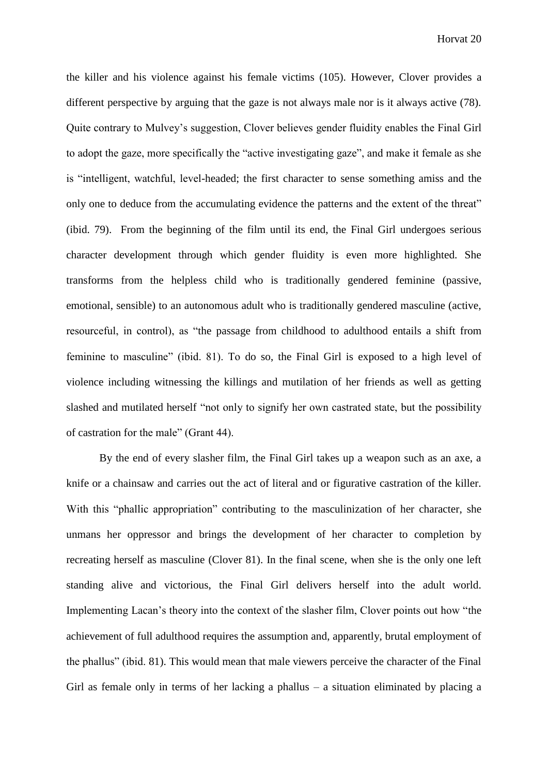the killer and his violence against his female victims (105). However, Clover provides a different perspective by arguing that the gaze is not always male nor is it always active (78). Quite contrary to Mulvey's suggestion, Clover believes gender fluidity enables the Final Girl to adopt the gaze, more specifically the "active investigating gaze", and make it female as she is "intelligent, watchful, level-headed; the first character to sense something amiss and the only one to deduce from the accumulating evidence the patterns and the extent of the threat" (ibid. 79). From the beginning of the film until its end, the Final Girl undergoes serious character development through which gender fluidity is even more highlighted. She transforms from the helpless child who is traditionally gendered feminine (passive, emotional, sensible) to an autonomous adult who is traditionally gendered masculine (active, resourceful, in control), as "the passage from childhood to adulthood entails a shift from feminine to masculine" (ibid. 81). To do so, the Final Girl is exposed to a high level of violence including witnessing the killings and mutilation of her friends as well as getting slashed and mutilated herself "not only to signify her own castrated state, but the possibility of castration for the male" (Grant 44).

By the end of every slasher film, the Final Girl takes up a weapon such as an axe, a knife or a chainsaw and carries out the act of literal and or figurative castration of the killer. With this "phallic appropriation" contributing to the masculinization of her character, she unmans her oppressor and brings the development of her character to completion by recreating herself as masculine (Clover 81). In the final scene, when she is the only one left standing alive and victorious, the Final Girl delivers herself into the adult world. Implementing Lacan's theory into the context of the slasher film, Clover points out how "the achievement of full adulthood requires the assumption and, apparently, brutal employment of the phallus" (ibid. 81). This would mean that male viewers perceive the character of the Final Girl as female only in terms of her lacking a phallus – a situation eliminated by placing a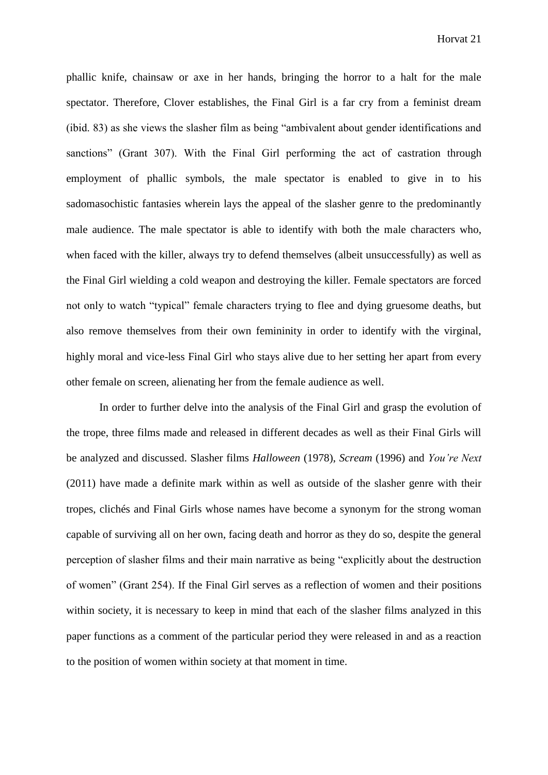phallic knife, chainsaw or axe in her hands, bringing the horror to a halt for the male spectator. Therefore, Clover establishes, the Final Girl is a far cry from a feminist dream (ibid. 83) as she views the slasher film as being "ambivalent about gender identifications and sanctions" (Grant 307). With the Final Girl performing the act of castration through employment of phallic symbols, the male spectator is enabled to give in to his sadomasochistic fantasies wherein lays the appeal of the slasher genre to the predominantly male audience. The male spectator is able to identify with both the male characters who, when faced with the killer, always try to defend themselves (albeit unsuccessfully) as well as the Final Girl wielding a cold weapon and destroying the killer. Female spectators are forced not only to watch "typical" female characters trying to flee and dying gruesome deaths, but also remove themselves from their own femininity in order to identify with the virginal, highly moral and vice-less Final Girl who stays alive due to her setting her apart from every other female on screen, alienating her from the female audience as well.

In order to further delve into the analysis of the Final Girl and grasp the evolution of the trope, three films made and released in different decades as well as their Final Girls will be analyzed and discussed. Slasher films *Halloween* (1978), *Scream* (1996) and *You're Next* (2011) have made a definite mark within as well as outside of the slasher genre with their tropes, clichés and Final Girls whose names have become a synonym for the strong woman capable of surviving all on her own, facing death and horror as they do so, despite the general perception of slasher films and their main narrative as being "explicitly about the destruction of women" (Grant 254). If the Final Girl serves as a reflection of women and their positions within society, it is necessary to keep in mind that each of the slasher films analyzed in this paper functions as a comment of the particular period they were released in and as a reaction to the position of women within society at that moment in time.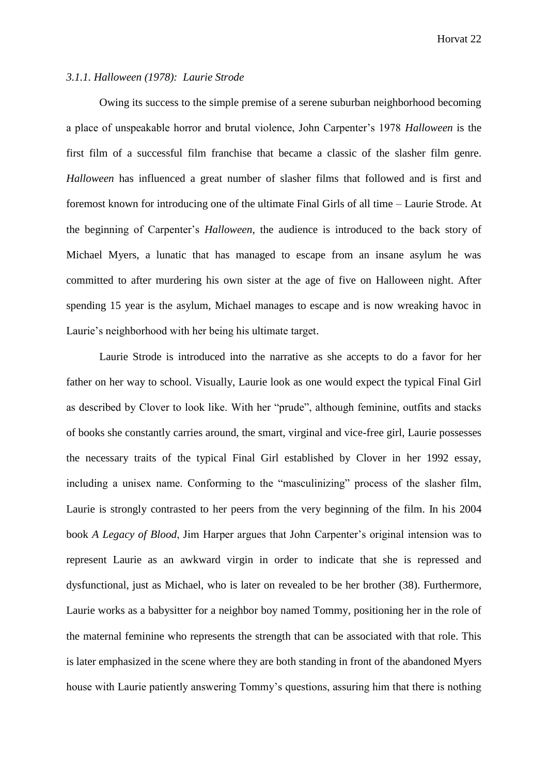Horvat 22

#### *3.1.1. Halloween (1978): Laurie Strode*

Owing its success to the simple premise of a serene suburban neighborhood becoming a place of unspeakable horror and brutal violence, John Carpenter's 1978 *Halloween* is the first film of a successful film franchise that became a classic of the slasher film genre. *Halloween* has influenced a great number of slasher films that followed and is first and foremost known for introducing one of the ultimate Final Girls of all time – Laurie Strode. At the beginning of Carpenter's *Halloween*, the audience is introduced to the back story of Michael Myers, a lunatic that has managed to escape from an insane asylum he was committed to after murdering his own sister at the age of five on Halloween night. After spending 15 year is the asylum, Michael manages to escape and is now wreaking havoc in Laurie's neighborhood with her being his ultimate target.

Laurie Strode is introduced into the narrative as she accepts to do a favor for her father on her way to school. Visually, Laurie look as one would expect the typical Final Girl as described by Clover to look like. With her "prude", although feminine, outfits and stacks of books she constantly carries around, the smart, virginal and vice-free girl, Laurie possesses the necessary traits of the typical Final Girl established by Clover in her 1992 essay, including a unisex name. Conforming to the "masculinizing" process of the slasher film, Laurie is strongly contrasted to her peers from the very beginning of the film. In his 2004 book *A Legacy of Blood*, Jim Harper argues that John Carpenter's original intension was to represent Laurie as an awkward virgin in order to indicate that she is repressed and dysfunctional, just as Michael, who is later on revealed to be her brother (38). Furthermore, Laurie works as a babysitter for a neighbor boy named Tommy, positioning her in the role of the maternal feminine who represents the strength that can be associated with that role. This is later emphasized in the scene where they are both standing in front of the abandoned Myers house with Laurie patiently answering Tommy's questions, assuring him that there is nothing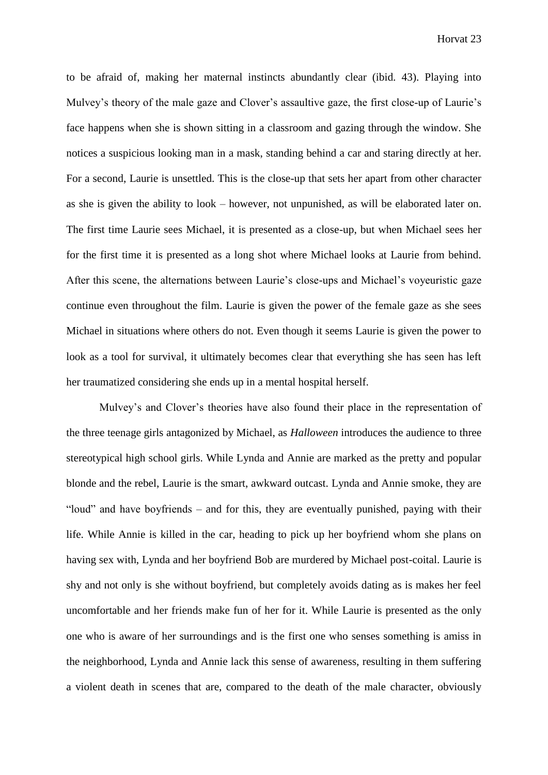to be afraid of, making her maternal instincts abundantly clear (ibid. 43). Playing into Mulvey's theory of the male gaze and Clover's assaultive gaze, the first close-up of Laurie's face happens when she is shown sitting in a classroom and gazing through the window. She notices a suspicious looking man in a mask, standing behind a car and staring directly at her. For a second, Laurie is unsettled. This is the close-up that sets her apart from other character as she is given the ability to look – however, not unpunished, as will be elaborated later on. The first time Laurie sees Michael, it is presented as a close-up, but when Michael sees her for the first time it is presented as a long shot where Michael looks at Laurie from behind. After this scene, the alternations between Laurie's close-ups and Michael's voyeuristic gaze continue even throughout the film. Laurie is given the power of the female gaze as she sees Michael in situations where others do not. Even though it seems Laurie is given the power to look as a tool for survival, it ultimately becomes clear that everything she has seen has left her traumatized considering she ends up in a mental hospital herself.

Mulvey's and Clover's theories have also found their place in the representation of the three teenage girls antagonized by Michael, as *Halloween* introduces the audience to three stereotypical high school girls. While Lynda and Annie are marked as the pretty and popular blonde and the rebel, Laurie is the smart, awkward outcast. Lynda and Annie smoke, they are "loud" and have boyfriends – and for this, they are eventually punished, paying with their life. While Annie is killed in the car, heading to pick up her boyfriend whom she plans on having sex with, Lynda and her boyfriend Bob are murdered by Michael post-coital. Laurie is shy and not only is she without boyfriend, but completely avoids dating as is makes her feel uncomfortable and her friends make fun of her for it. While Laurie is presented as the only one who is aware of her surroundings and is the first one who senses something is amiss in the neighborhood, Lynda and Annie lack this sense of awareness, resulting in them suffering a violent death in scenes that are, compared to the death of the male character, obviously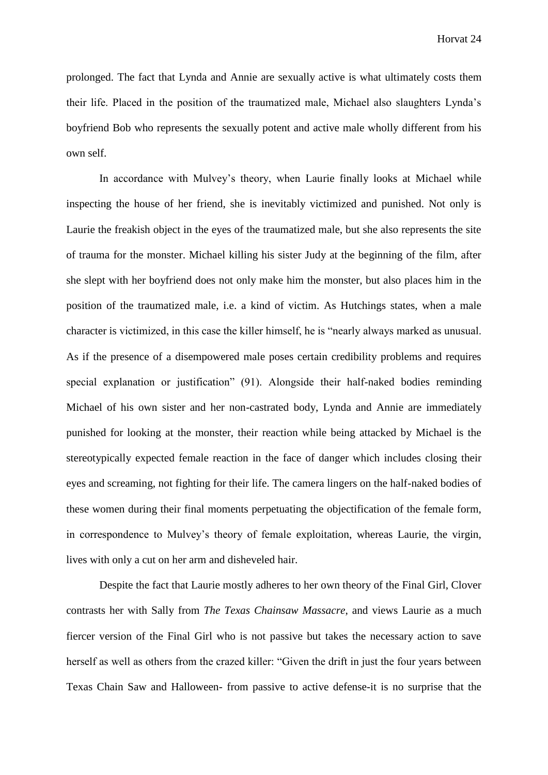prolonged. The fact that Lynda and Annie are sexually active is what ultimately costs them their life. Placed in the position of the traumatized male, Michael also slaughters Lynda's boyfriend Bob who represents the sexually potent and active male wholly different from his own self.

In accordance with Mulvey's theory, when Laurie finally looks at Michael while inspecting the house of her friend, she is inevitably victimized and punished. Not only is Laurie the freakish object in the eyes of the traumatized male, but she also represents the site of trauma for the monster. Michael killing his sister Judy at the beginning of the film, after she slept with her boyfriend does not only make him the monster, but also places him in the position of the traumatized male, i.e. a kind of victim. As Hutchings states, when a male character is victimized, in this case the killer himself, he is "nearly always marked as unusual. As if the presence of a disempowered male poses certain credibility problems and requires special explanation or justification" (91). Alongside their half-naked bodies reminding Michael of his own sister and her non-castrated body, Lynda and Annie are immediately punished for looking at the monster, their reaction while being attacked by Michael is the stereotypically expected female reaction in the face of danger which includes closing their eyes and screaming, not fighting for their life. The camera lingers on the half-naked bodies of these women during their final moments perpetuating the objectification of the female form, in correspondence to Mulvey's theory of female exploitation, whereas Laurie, the virgin, lives with only a cut on her arm and disheveled hair.

Despite the fact that Laurie mostly adheres to her own theory of the Final Girl, Clover contrasts her with Sally from *The Texas Chainsaw Massacre*, and views Laurie as a much fiercer version of the Final Girl who is not passive but takes the necessary action to save herself as well as others from the crazed killer: "Given the drift in just the four years between Texas Chain Saw and Halloween- from passive to active defense-it is no surprise that the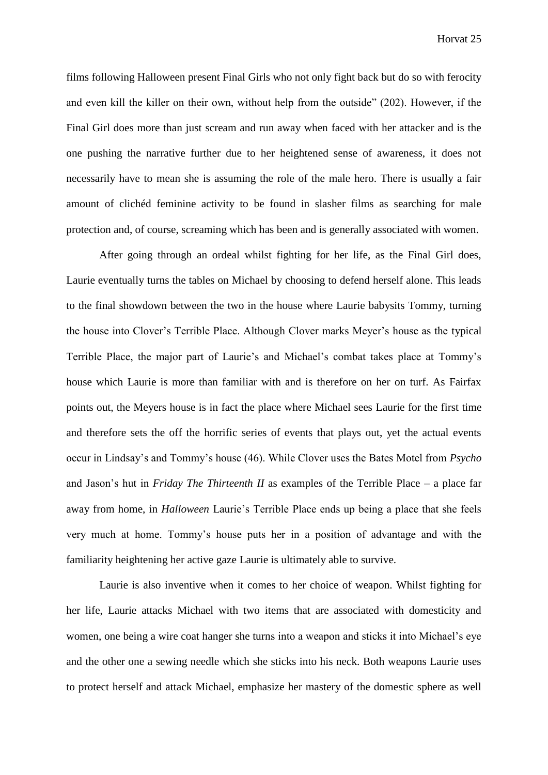films following Halloween present Final Girls who not only fight back but do so with ferocity and even kill the killer on their own, without help from the outside" (202). However, if the Final Girl does more than just scream and run away when faced with her attacker and is the one pushing the narrative further due to her heightened sense of awareness, it does not necessarily have to mean she is assuming the role of the male hero. There is usually a fair amount of clichéd feminine activity to be found in slasher films as searching for male protection and, of course, screaming which has been and is generally associated with women.

After going through an ordeal whilst fighting for her life, as the Final Girl does, Laurie eventually turns the tables on Michael by choosing to defend herself alone. This leads to the final showdown between the two in the house where Laurie babysits Tommy, turning the house into Clover's Terrible Place. Although Clover marks Meyer's house as the typical Terrible Place, the major part of Laurie's and Michael's combat takes place at Tommy's house which Laurie is more than familiar with and is therefore on her on turf. As Fairfax points out, the Meyers house is in fact the place where Michael sees Laurie for the first time and therefore sets the off the horrific series of events that plays out, yet the actual events occur in Lindsay's and Tommy's house (46). While Clover uses the Bates Motel from *Psycho*  and Jason's hut in *Friday The Thirteenth II* as examples of the Terrible Place – a place far away from home, in *Halloween* Laurie's Terrible Place ends up being a place that she feels very much at home. Tommy's house puts her in a position of advantage and with the familiarity heightening her active gaze Laurie is ultimately able to survive.

Laurie is also inventive when it comes to her choice of weapon. Whilst fighting for her life, Laurie attacks Michael with two items that are associated with domesticity and women, one being a wire coat hanger she turns into a weapon and sticks it into Michael's eye and the other one a sewing needle which she sticks into his neck. Both weapons Laurie uses to protect herself and attack Michael, emphasize her mastery of the domestic sphere as well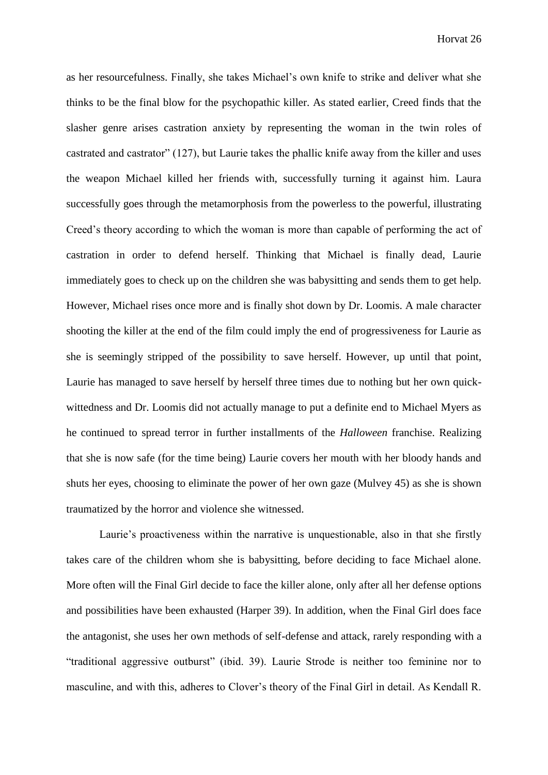as her resourcefulness. Finally, she takes Michael's own knife to strike and deliver what she thinks to be the final blow for the psychopathic killer. As stated earlier, Creed finds that the slasher genre arises castration anxiety by representing the woman in the twin roles of castrated and castrator" (127), but Laurie takes the phallic knife away from the killer and uses the weapon Michael killed her friends with, successfully turning it against him. Laura successfully goes through the metamorphosis from the powerless to the powerful, illustrating Creed's theory according to which the woman is more than capable of performing the act of castration in order to defend herself. Thinking that Michael is finally dead, Laurie immediately goes to check up on the children she was babysitting and sends them to get help. However, Michael rises once more and is finally shot down by Dr. Loomis. A male character shooting the killer at the end of the film could imply the end of progressiveness for Laurie as she is seemingly stripped of the possibility to save herself. However, up until that point, Laurie has managed to save herself by herself three times due to nothing but her own quickwittedness and Dr. Loomis did not actually manage to put a definite end to Michael Myers as he continued to spread terror in further installments of the *Halloween* franchise. Realizing that she is now safe (for the time being) Laurie covers her mouth with her bloody hands and shuts her eyes, choosing to eliminate the power of her own gaze (Mulvey 45) as she is shown traumatized by the horror and violence she witnessed.

Laurie's proactiveness within the narrative is unquestionable, also in that she firstly takes care of the children whom she is babysitting, before deciding to face Michael alone. More often will the Final Girl decide to face the killer alone, only after all her defense options and possibilities have been exhausted (Harper 39). In addition, when the Final Girl does face the antagonist, she uses her own methods of self-defense and attack, rarely responding with a "traditional aggressive outburst" (ibid. 39). Laurie Strode is neither too feminine nor to masculine, and with this, adheres to Clover's theory of the Final Girl in detail. As Kendall R.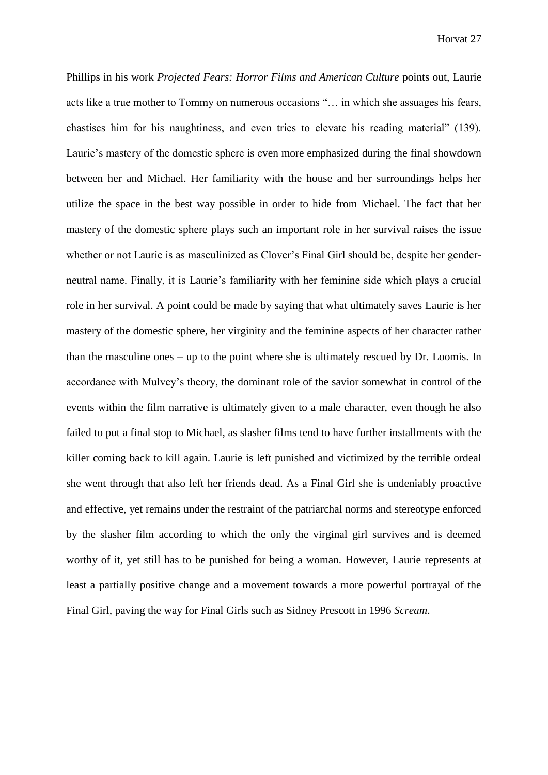Phillips in his work *Projected Fears: Horror Films and American Culture* points out, Laurie acts like a true mother to Tommy on numerous occasions "… in which she assuages his fears, chastises him for his naughtiness, and even tries to elevate his reading material" (139). Laurie's mastery of the domestic sphere is even more emphasized during the final showdown between her and Michael. Her familiarity with the house and her surroundings helps her utilize the space in the best way possible in order to hide from Michael. The fact that her mastery of the domestic sphere plays such an important role in her survival raises the issue whether or not Laurie is as masculinized as Clover's Final Girl should be, despite her genderneutral name. Finally, it is Laurie's familiarity with her feminine side which plays a crucial role in her survival. A point could be made by saying that what ultimately saves Laurie is her mastery of the domestic sphere, her virginity and the feminine aspects of her character rather than the masculine ones – up to the point where she is ultimately rescued by Dr. Loomis. In accordance with Mulvey's theory, the dominant role of the savior somewhat in control of the events within the film narrative is ultimately given to a male character, even though he also failed to put a final stop to Michael, as slasher films tend to have further installments with the killer coming back to kill again. Laurie is left punished and victimized by the terrible ordeal she went through that also left her friends dead. As a Final Girl she is undeniably proactive and effective, yet remains under the restraint of the patriarchal norms and stereotype enforced by the slasher film according to which the only the virginal girl survives and is deemed worthy of it, yet still has to be punished for being a woman. However, Laurie represents at least a partially positive change and a movement towards a more powerful portrayal of the Final Girl, paving the way for Final Girls such as Sidney Prescott in 1996 *Scream*.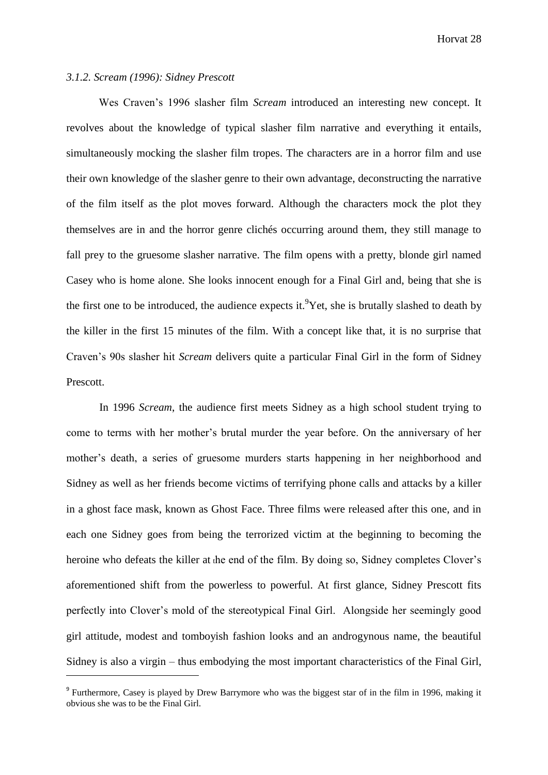Horvat 28

#### *3.1.2. Scream (1996): Sidney Prescott*

<u>.</u>

Wes Craven's 1996 slasher film *Scream* introduced an interesting new concept. It revolves about the knowledge of typical slasher film narrative and everything it entails, simultaneously mocking the slasher film tropes. The characters are in a horror film and use their own knowledge of the slasher genre to their own advantage, deconstructing the narrative of the film itself as the plot moves forward. Although the characters mock the plot they themselves are in and the horror genre clichés occurring around them, they still manage to fall prey to the gruesome slasher narrative. The film opens with a pretty, blonde girl named Casey who is home alone. She looks innocent enough for a Final Girl and, being that she is the first one to be introduced, the audience expects it.<sup>9</sup>Yet, she is brutally slashed to death by the killer in the first 15 minutes of the film. With a concept like that, it is no surprise that Craven's 90s slasher hit *Scream* delivers quite a particular Final Girl in the form of Sidney Prescott.

In 1996 *Scream*, the audience first meets Sidney as a high school student trying to come to terms with her mother's brutal murder the year before. On the anniversary of her mother's death, a series of gruesome murders starts happening in her neighborhood and Sidney as well as her friends become victims of terrifying phone calls and attacks by a killer in a ghost face mask, known as Ghost Face. Three films were released after this one, and in each one Sidney goes from being the terrorized victim at the beginning to becoming the heroine who defeats the killer at <sup>t</sup>he end of the film. By doing so, Sidney completes Clover's aforementioned shift from the powerless to powerful. At first glance, Sidney Prescott fits perfectly into Clover's mold of the stereotypical Final Girl. Alongside her seemingly good girl attitude, modest and tomboyish fashion looks and an androgynous name, the beautiful Sidney is also a virgin – thus embodying the most important characteristics of the Final Girl,

<sup>&</sup>lt;sup>9</sup> Furthermore, Casey is played by Drew Barrymore who was the biggest star of in the film in 1996, making it obvious she was to be the Final Girl.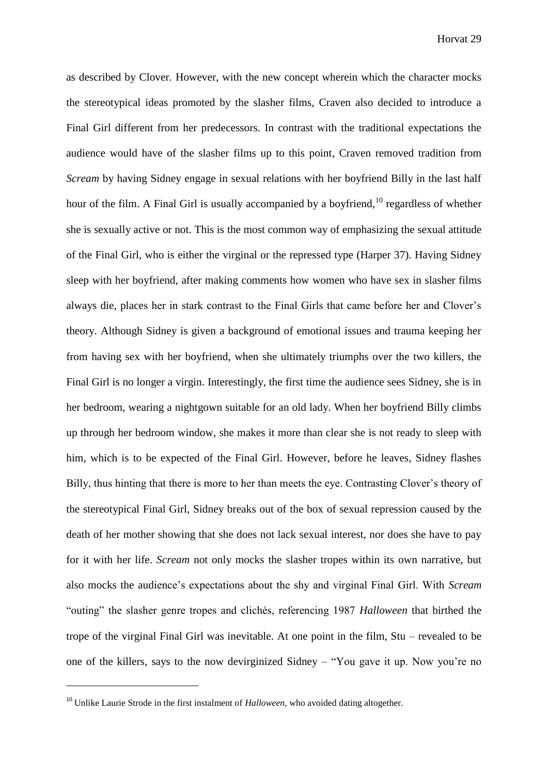as described by Clover. However, with the new concept wherein which the character mocks the stereotypical ideas promoted by the slasher films, Craven also decided to introduce a Final Girl different from her predecessors. In contrast with the traditional expectations the audience would have of the slasher films up to this point, Craven removed tradition from *Scream* by having Sidney engage in sexual relations with her boyfriend Billy in the last half hour of the film. A Final Girl is usually accompanied by a boyfriend,  $10$  regardless of whether she is sexually active or not. This is the most common way of emphasizing the sexual attitude of the Final Girl, who is either the virginal or the repressed type (Harper 37). Having Sidney sleep with her boyfriend, after making comments how women who have sex in slasher films always die, places her in stark contrast to the Final Girls that came before her and Clover's theory. Although Sidney is given a background of emotional issues and trauma keeping her from having sex with her boyfriend, when she ultimately triumphs over the two killers, the Final Girl is no longer a virgin. Interestingly, the first time the audience sees Sidney, she is in her bedroom, wearing a nightgown suitable for an old lady. When her boyfriend Billy climbs up through her bedroom window, she makes it more than clear she is not ready to sleep with him, which is to be expected of the Final Girl. However, before he leaves, Sidney flashes Billy, thus hinting that there is more to her than meets the eye. Contrasting Clover's theory of the stereotypical Final Girl, Sidney breaks out of the box of sexual repression caused by the death of her mother showing that she does not lack sexual interest, nor does she have to pay for it with her life. *Scream* not only mocks the slasher tropes within its own narrative, but also mocks the audience's expectations about the shy and virginal Final Girl. With *Scream*  "outing" the slasher genre tropes and clichés, referencing 1987 *Halloween* that birthed the trope of the virginal Final Girl was inevitable. At one point in the film, Stu – revealed to be one of the killers, says to the now devirginized Sidney – "You gave it up. Now you're no

1

<sup>&</sup>lt;sup>10</sup> Unlike Laurie Strode in the first instalment of *Halloween*, who avoided dating altogether.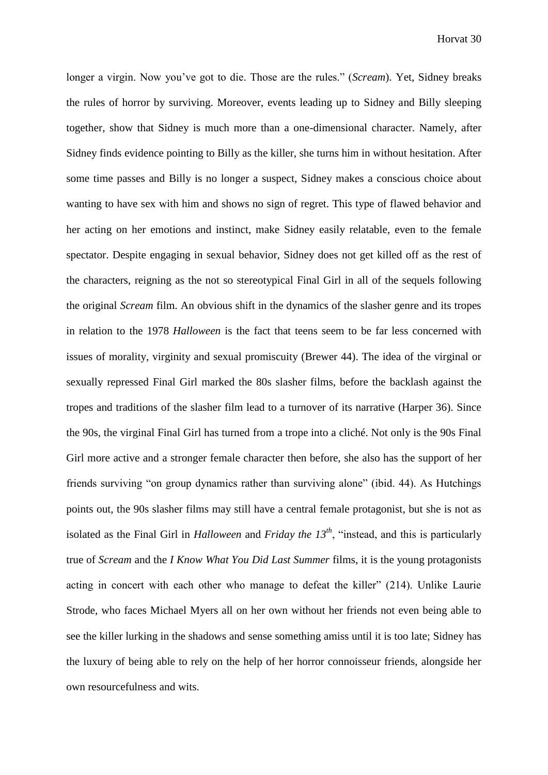longer a virgin. Now you've got to die. Those are the rules." (*Scream*). Yet, Sidney breaks the rules of horror by surviving. Moreover, events leading up to Sidney and Billy sleeping together, show that Sidney is much more than a one-dimensional character. Namely, after Sidney finds evidence pointing to Billy as the killer, she turns him in without hesitation. After some time passes and Billy is no longer a suspect, Sidney makes a conscious choice about wanting to have sex with him and shows no sign of regret. This type of flawed behavior and her acting on her emotions and instinct, make Sidney easily relatable, even to the female spectator. Despite engaging in sexual behavior, Sidney does not get killed off as the rest of the characters, reigning as the not so stereotypical Final Girl in all of the sequels following the original *Scream* film. An obvious shift in the dynamics of the slasher genre and its tropes in relation to the 1978 *Halloween* is the fact that teens seem to be far less concerned with issues of morality, virginity and sexual promiscuity (Brewer 44). The idea of the virginal or sexually repressed Final Girl marked the 80s slasher films, before the backlash against the tropes and traditions of the slasher film lead to a turnover of its narrative (Harper 36). Since the 90s, the virginal Final Girl has turned from a trope into a cliché. Not only is the 90s Final Girl more active and a stronger female character then before, she also has the support of her friends surviving "on group dynamics rather than surviving alone" (ibid. 44). As Hutchings points out, the 90s slasher films may still have a central female protagonist, but she is not as isolated as the Final Girl in *Halloween* and *Friday the 13th*, "instead, and this is particularly true of *Scream* and the *I Know What You Did Last Summer* films, it is the young protagonists acting in concert with each other who manage to defeat the killer" (214). Unlike Laurie Strode, who faces Michael Myers all on her own without her friends not even being able to see the killer lurking in the shadows and sense something amiss until it is too late; Sidney has the luxury of being able to rely on the help of her horror connoisseur friends, alongside her own resourcefulness and wits.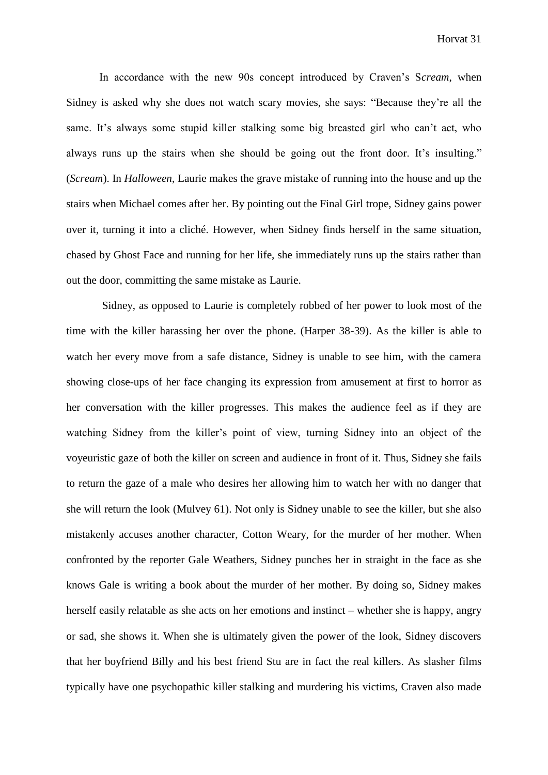In accordance with the new 90s concept introduced by Craven's S*cream*, when Sidney is asked why she does not watch scary movies, she says: "Because they're all the same. It's always some stupid killer stalking some big breasted girl who can't act, who always runs up the stairs when she should be going out the front door. It's insulting." (*Scream*). In *Halloween*, Laurie makes the grave mistake of running into the house and up the stairs when Michael comes after her. By pointing out the Final Girl trope, Sidney gains power over it, turning it into a cliché. However, when Sidney finds herself in the same situation, chased by Ghost Face and running for her life, she immediately runs up the stairs rather than out the door, committing the same mistake as Laurie.

Sidney, as opposed to Laurie is completely robbed of her power to look most of the time with the killer harassing her over the phone. (Harper 38-39). As the killer is able to watch her every move from a safe distance, Sidney is unable to see him, with the camera showing close-ups of her face changing its expression from amusement at first to horror as her conversation with the killer progresses. This makes the audience feel as if they are watching Sidney from the killer's point of view, turning Sidney into an object of the voyeuristic gaze of both the killer on screen and audience in front of it. Thus, Sidney she fails to return the gaze of a male who desires her allowing him to watch her with no danger that she will return the look (Mulvey 61). Not only is Sidney unable to see the killer, but she also mistakenly accuses another character, Cotton Weary, for the murder of her mother. When confronted by the reporter Gale Weathers, Sidney punches her in straight in the face as she knows Gale is writing a book about the murder of her mother. By doing so, Sidney makes herself easily relatable as she acts on her emotions and instinct – whether she is happy, angry or sad, she shows it. When she is ultimately given the power of the look, Sidney discovers that her boyfriend Billy and his best friend Stu are in fact the real killers. As slasher films typically have one psychopathic killer stalking and murdering his victims, Craven also made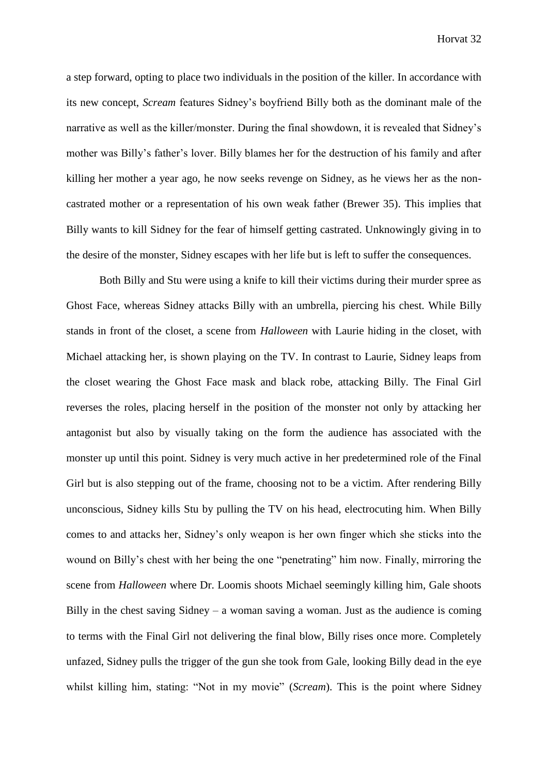a step forward, opting to place two individuals in the position of the killer. In accordance with its new concept, *Scream* features Sidney's boyfriend Billy both as the dominant male of the narrative as well as the killer/monster. During the final showdown, it is revealed that Sidney's mother was Billy's father's lover. Billy blames her for the destruction of his family and after killing her mother a year ago, he now seeks revenge on Sidney, as he views her as the noncastrated mother or a representation of his own weak father (Brewer 35). This implies that Billy wants to kill Sidney for the fear of himself getting castrated. Unknowingly giving in to the desire of the monster, Sidney escapes with her life but is left to suffer the consequences.

Both Billy and Stu were using a knife to kill their victims during their murder spree as Ghost Face, whereas Sidney attacks Billy with an umbrella, piercing his chest. While Billy stands in front of the closet, a scene from *Halloween* with Laurie hiding in the closet, with Michael attacking her, is shown playing on the TV. In contrast to Laurie, Sidney leaps from the closet wearing the Ghost Face mask and black robe, attacking Billy. The Final Girl reverses the roles, placing herself in the position of the monster not only by attacking her antagonist but also by visually taking on the form the audience has associated with the monster up until this point. Sidney is very much active in her predetermined role of the Final Girl but is also stepping out of the frame, choosing not to be a victim. After rendering Billy unconscious, Sidney kills Stu by pulling the TV on his head, electrocuting him. When Billy comes to and attacks her, Sidney's only weapon is her own finger which she sticks into the wound on Billy's chest with her being the one "penetrating" him now. Finally, mirroring the scene from *Halloween* where Dr. Loomis shoots Michael seemingly killing him, Gale shoots Billy in the chest saving Sidney – a woman saving a woman. Just as the audience is coming to terms with the Final Girl not delivering the final blow, Billy rises once more. Completely unfazed, Sidney pulls the trigger of the gun she took from Gale, looking Billy dead in the eye whilst killing him, stating: "Not in my movie" (*Scream*). This is the point where Sidney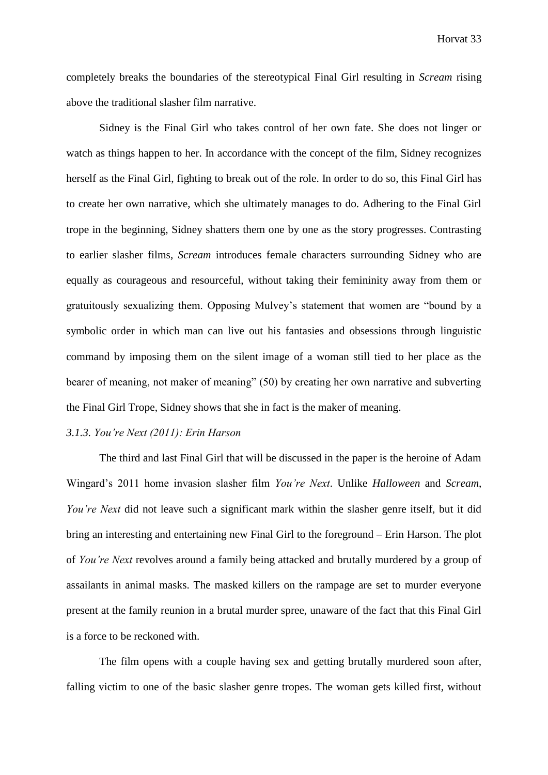Horvat 33

completely breaks the boundaries of the stereotypical Final Girl resulting in *Scream* rising above the traditional slasher film narrative.

Sidney is the Final Girl who takes control of her own fate. She does not linger or watch as things happen to her. In accordance with the concept of the film, Sidney recognizes herself as the Final Girl, fighting to break out of the role. In order to do so, this Final Girl has to create her own narrative, which she ultimately manages to do. Adhering to the Final Girl trope in the beginning, Sidney shatters them one by one as the story progresses. Contrasting to earlier slasher films, *Scream* introduces female characters surrounding Sidney who are equally as courageous and resourceful, without taking their femininity away from them or gratuitously sexualizing them. Opposing Mulvey's statement that women are "bound by a symbolic order in which man can live out his fantasies and obsessions through linguistic command by imposing them on the silent image of a woman still tied to her place as the bearer of meaning, not maker of meaning" (50) by creating her own narrative and subverting the Final Girl Trope, Sidney shows that she in fact is the maker of meaning.

#### *3.1.3. You're Next (2011): Erin Harson*

The third and last Final Girl that will be discussed in the paper is the heroine of Adam Wingard's 2011 home invasion slasher film *You're Next*. Unlike *Halloween* and *Scream*, *You're Next* did not leave such a significant mark within the slasher genre itself, but it did bring an interesting and entertaining new Final Girl to the foreground – Erin Harson. The plot of *You're Next* revolves around a family being attacked and brutally murdered by a group of assailants in animal masks. The masked killers on the rampage are set to murder everyone present at the family reunion in a brutal murder spree, unaware of the fact that this Final Girl is a force to be reckoned with.

The film opens with a couple having sex and getting brutally murdered soon after, falling victim to one of the basic slasher genre tropes. The woman gets killed first, without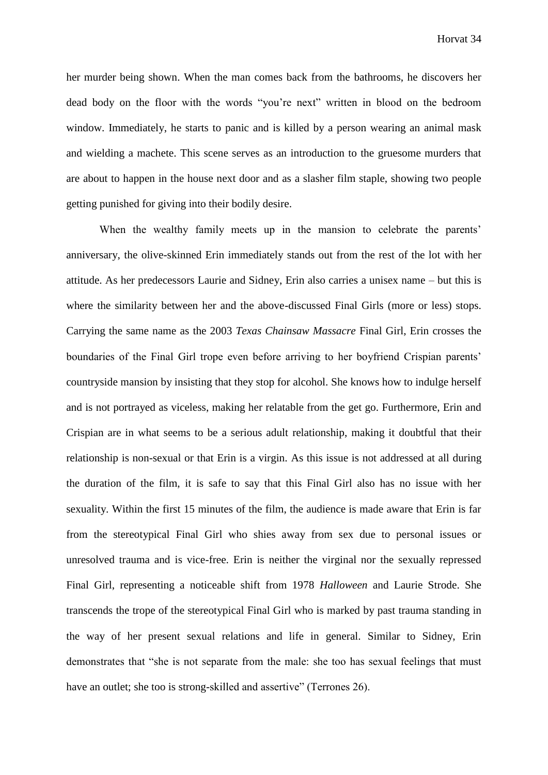her murder being shown. When the man comes back from the bathrooms, he discovers her dead body on the floor with the words "you're next" written in blood on the bedroom window. Immediately, he starts to panic and is killed by a person wearing an animal mask and wielding a machete. This scene serves as an introduction to the gruesome murders that are about to happen in the house next door and as a slasher film staple, showing two people getting punished for giving into their bodily desire.

When the wealthy family meets up in the mansion to celebrate the parents' anniversary, the olive-skinned Erin immediately stands out from the rest of the lot with her attitude. As her predecessors Laurie and Sidney, Erin also carries a unisex name – but this is where the similarity between her and the above-discussed Final Girls (more or less) stops. Carrying the same name as the 2003 *Texas Chainsaw Massacre* Final Girl, Erin crosses the boundaries of the Final Girl trope even before arriving to her boyfriend Crispian parents' countryside mansion by insisting that they stop for alcohol. She knows how to indulge herself and is not portrayed as viceless, making her relatable from the get go. Furthermore, Erin and Crispian are in what seems to be a serious adult relationship, making it doubtful that their relationship is non-sexual or that Erin is a virgin. As this issue is not addressed at all during the duration of the film, it is safe to say that this Final Girl also has no issue with her sexuality. Within the first 15 minutes of the film, the audience is made aware that Erin is far from the stereotypical Final Girl who shies away from sex due to personal issues or unresolved trauma and is vice-free. Erin is neither the virginal nor the sexually repressed Final Girl, representing a noticeable shift from 1978 *Halloween* and Laurie Strode. She transcends the trope of the stereotypical Final Girl who is marked by past trauma standing in the way of her present sexual relations and life in general. Similar to Sidney, Erin demonstrates that "she is not separate from the male: she too has sexual feelings that must have an outlet; she too is strong-skilled and assertive" (Terrones 26).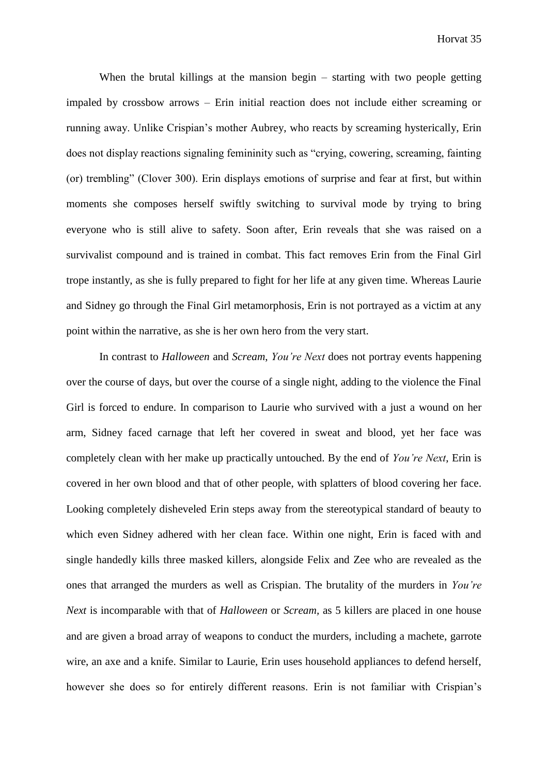When the brutal killings at the mansion begin – starting with two people getting impaled by crossbow arrows – Erin initial reaction does not include either screaming or running away. Unlike Crispian's mother Aubrey, who reacts by screaming hysterically, Erin does not display reactions signaling femininity such as "crying, cowering, screaming, fainting (or) trembling" (Clover 300). Erin displays emotions of surprise and fear at first, but within moments she composes herself swiftly switching to survival mode by trying to bring everyone who is still alive to safety. Soon after, Erin reveals that she was raised on a survivalist compound and is trained in combat. This fact removes Erin from the Final Girl trope instantly, as she is fully prepared to fight for her life at any given time. Whereas Laurie and Sidney go through the Final Girl metamorphosis, Erin is not portrayed as a victim at any point within the narrative, as she is her own hero from the very start.

In contrast to *Halloween* and *Scream*, *You're Next* does not portray events happening over the course of days, but over the course of a single night, adding to the violence the Final Girl is forced to endure. In comparison to Laurie who survived with a just a wound on her arm, Sidney faced carnage that left her covered in sweat and blood, yet her face was completely clean with her make up practically untouched. By the end of *You're Next*, Erin is covered in her own blood and that of other people, with splatters of blood covering her face. Looking completely disheveled Erin steps away from the stereotypical standard of beauty to which even Sidney adhered with her clean face. Within one night, Erin is faced with and single handedly kills three masked killers, alongside Felix and Zee who are revealed as the ones that arranged the murders as well as Crispian. The brutality of the murders in *You're Next* is incomparable with that of *Halloween* or *Scream,* as 5 killers are placed in one house and are given a broad array of weapons to conduct the murders, including a machete, garrote wire, an axe and a knife. Similar to Laurie, Erin uses household appliances to defend herself, however she does so for entirely different reasons. Erin is not familiar with Crispian's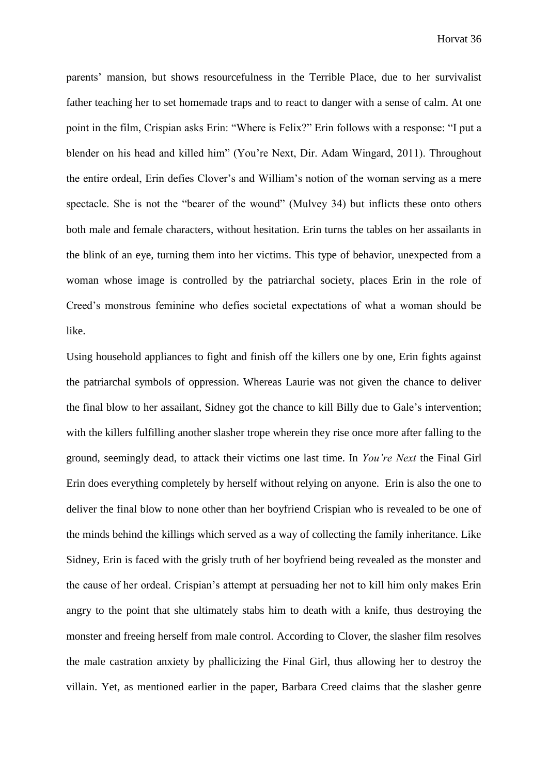parents' mansion, but shows resourcefulness in the Terrible Place, due to her survivalist father teaching her to set homemade traps and to react to danger with a sense of calm. At one point in the film, Crispian asks Erin: "Where is Felix?" Erin follows with a response: "I put a blender on his head and killed him" (You're Next, Dir. Adam Wingard, 2011). Throughout the entire ordeal, Erin defies Clover's and William's notion of the woman serving as a mere spectacle. She is not the "bearer of the wound" (Mulvey 34) but inflicts these onto others both male and female characters, without hesitation. Erin turns the tables on her assailants in the blink of an eye, turning them into her victims. This type of behavior, unexpected from a woman whose image is controlled by the patriarchal society, places Erin in the role of Creed's monstrous feminine who defies societal expectations of what a woman should be like.

Using household appliances to fight and finish off the killers one by one, Erin fights against the patriarchal symbols of oppression. Whereas Laurie was not given the chance to deliver the final blow to her assailant, Sidney got the chance to kill Billy due to Gale's intervention; with the killers fulfilling another slasher trope wherein they rise once more after falling to the ground, seemingly dead, to attack their victims one last time. In *You're Next* the Final Girl Erin does everything completely by herself without relying on anyone. Erin is also the one to deliver the final blow to none other than her boyfriend Crispian who is revealed to be one of the minds behind the killings which served as a way of collecting the family inheritance. Like Sidney, Erin is faced with the grisly truth of her boyfriend being revealed as the monster and the cause of her ordeal. Crispian's attempt at persuading her not to kill him only makes Erin angry to the point that she ultimately stabs him to death with a knife, thus destroying the monster and freeing herself from male control. According to Clover, the slasher film resolves the male castration anxiety by phallicizing the Final Girl, thus allowing her to destroy the villain. Yet, as mentioned earlier in the paper, Barbara Creed claims that the slasher genre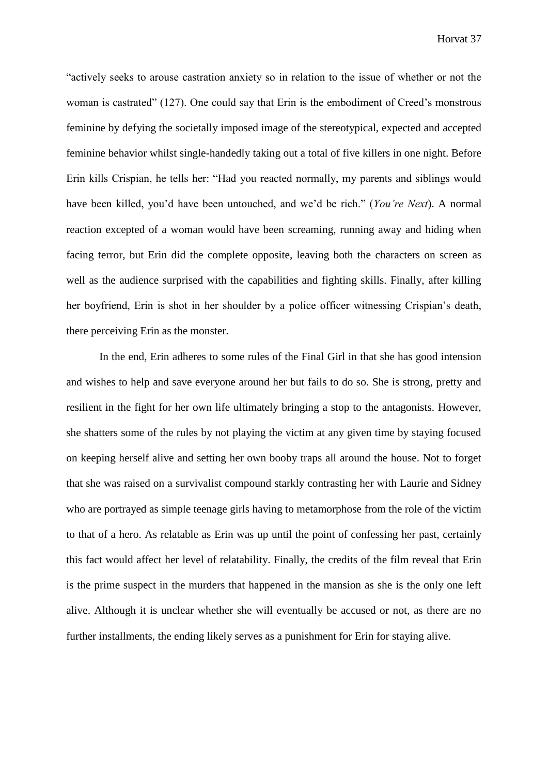"actively seeks to arouse castration anxiety so in relation to the issue of whether or not the woman is castrated" (127). One could say that Erin is the embodiment of Creed's monstrous feminine by defying the societally imposed image of the stereotypical, expected and accepted feminine behavior whilst single-handedly taking out a total of five killers in one night. Before Erin kills Crispian, he tells her: "Had you reacted normally, my parents and siblings would have been killed, you'd have been untouched, and we'd be rich." (*You're Next*). A normal reaction excepted of a woman would have been screaming, running away and hiding when facing terror, but Erin did the complete opposite, leaving both the characters on screen as well as the audience surprised with the capabilities and fighting skills. Finally, after killing her boyfriend, Erin is shot in her shoulder by a police officer witnessing Crispian's death, there perceiving Erin as the monster.

In the end, Erin adheres to some rules of the Final Girl in that she has good intension and wishes to help and save everyone around her but fails to do so. She is strong, pretty and resilient in the fight for her own life ultimately bringing a stop to the antagonists. However, she shatters some of the rules by not playing the victim at any given time by staying focused on keeping herself alive and setting her own booby traps all around the house. Not to forget that she was raised on a survivalist compound starkly contrasting her with Laurie and Sidney who are portrayed as simple teenage girls having to metamorphose from the role of the victim to that of a hero. As relatable as Erin was up until the point of confessing her past, certainly this fact would affect her level of relatability. Finally, the credits of the film reveal that Erin is the prime suspect in the murders that happened in the mansion as she is the only one left alive. Although it is unclear whether she will eventually be accused or not, as there are no further installments, the ending likely serves as a punishment for Erin for staying alive.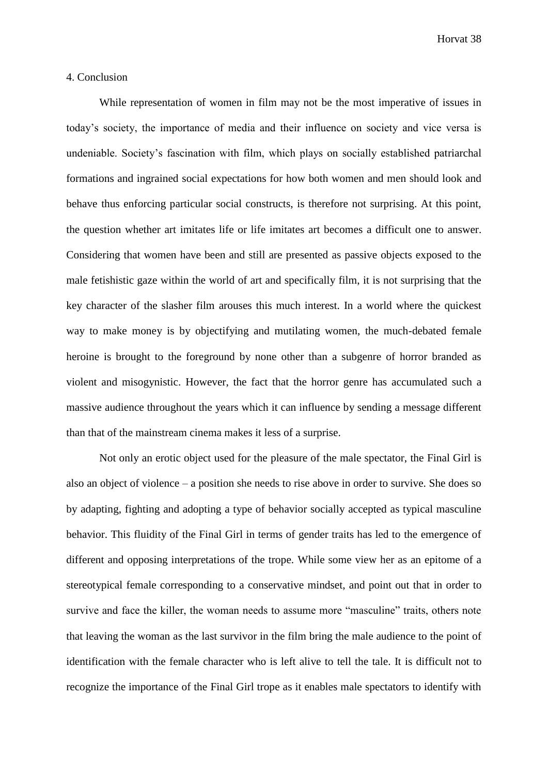Horvat 38

#### 4. Conclusion

While representation of women in film may not be the most imperative of issues in today's society, the importance of media and their influence on society and vice versa is undeniable. Society's fascination with film, which plays on socially established patriarchal formations and ingrained social expectations for how both women and men should look and behave thus enforcing particular social constructs, is therefore not surprising. At this point, the question whether art imitates life or life imitates art becomes a difficult one to answer. Considering that women have been and still are presented as passive objects exposed to the male fetishistic gaze within the world of art and specifically film, it is not surprising that the key character of the slasher film arouses this much interest. In a world where the quickest way to make money is by objectifying and mutilating women, the much-debated female heroine is brought to the foreground by none other than a subgenre of horror branded as violent and misogynistic. However, the fact that the horror genre has accumulated such a massive audience throughout the years which it can influence by sending a message different than that of the mainstream cinema makes it less of a surprise.

Not only an erotic object used for the pleasure of the male spectator, the Final Girl is also an object of violence – a position she needs to rise above in order to survive. She does so by adapting, fighting and adopting a type of behavior socially accepted as typical masculine behavior. This fluidity of the Final Girl in terms of gender traits has led to the emergence of different and opposing interpretations of the trope. While some view her as an epitome of a stereotypical female corresponding to a conservative mindset, and point out that in order to survive and face the killer, the woman needs to assume more "masculine" traits, others note that leaving the woman as the last survivor in the film bring the male audience to the point of identification with the female character who is left alive to tell the tale. It is difficult not to recognize the importance of the Final Girl trope as it enables male spectators to identify with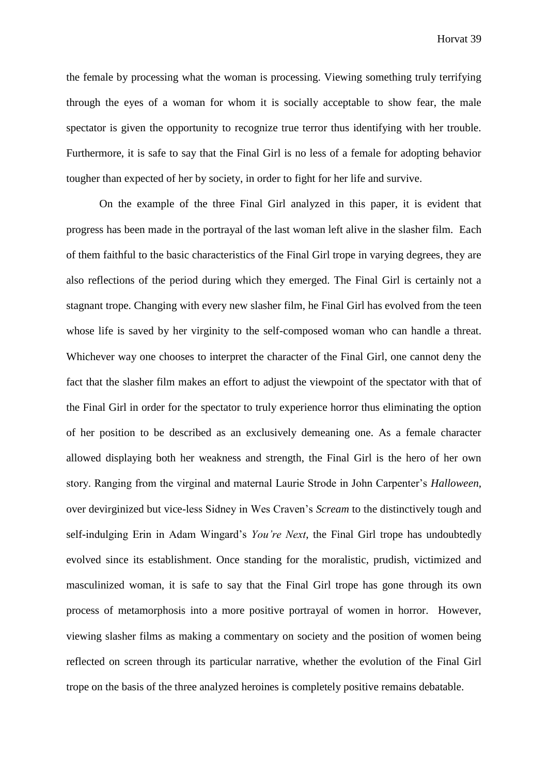the female by processing what the woman is processing. Viewing something truly terrifying through the eyes of a woman for whom it is socially acceptable to show fear, the male spectator is given the opportunity to recognize true terror thus identifying with her trouble. Furthermore, it is safe to say that the Final Girl is no less of a female for adopting behavior tougher than expected of her by society, in order to fight for her life and survive.

On the example of the three Final Girl analyzed in this paper, it is evident that progress has been made in the portrayal of the last woman left alive in the slasher film. Each of them faithful to the basic characteristics of the Final Girl trope in varying degrees, they are also reflections of the period during which they emerged. The Final Girl is certainly not a stagnant trope. Changing with every new slasher film, he Final Girl has evolved from the teen whose life is saved by her virginity to the self-composed woman who can handle a threat. Whichever way one chooses to interpret the character of the Final Girl, one cannot deny the fact that the slasher film makes an effort to adjust the viewpoint of the spectator with that of the Final Girl in order for the spectator to truly experience horror thus eliminating the option of her position to be described as an exclusively demeaning one. As a female character allowed displaying both her weakness and strength, the Final Girl is the hero of her own story. Ranging from the virginal and maternal Laurie Strode in John Carpenter's *Halloween*, over devirginized but vice-less Sidney in Wes Craven's *Scream* to the distinctively tough and self-indulging Erin in Adam Wingard's *You're Next*, the Final Girl trope has undoubtedly evolved since its establishment. Once standing for the moralistic, prudish, victimized and masculinized woman, it is safe to say that the Final Girl trope has gone through its own process of metamorphosis into a more positive portrayal of women in horror. However, viewing slasher films as making a commentary on society and the position of women being reflected on screen through its particular narrative, whether the evolution of the Final Girl trope on the basis of the three analyzed heroines is completely positive remains debatable.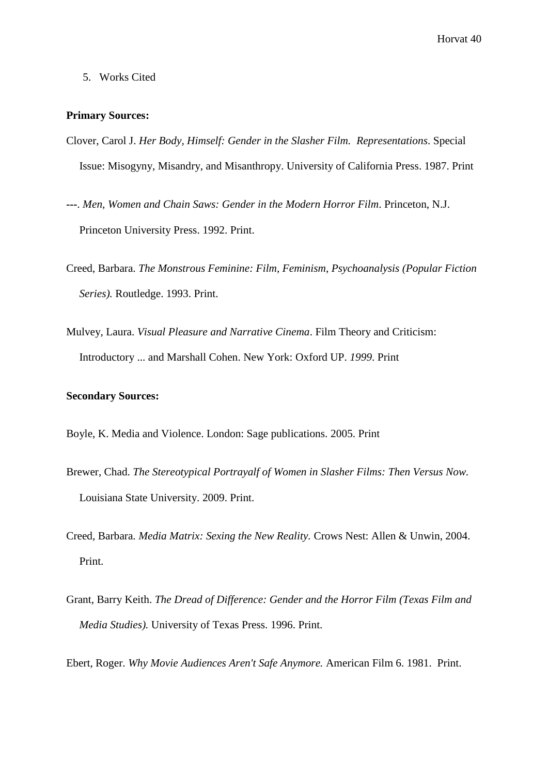5. Works Cited

#### **Primary Sources:**

- Clover, Carol J. *Her Body, Himself: Gender in the Slasher Film. Representations*. Special Issue: Misogyny, Misandry, and Misanthropy. University of California Press. 1987. Print
- **[---](https://en.wikipedia.org/wiki/Carol_J._Clover)**. *Men, Women and Chain Saws: Gender in the Modern Horror Film*. Princeton, N.J. Princeton University Press. 1992. Print.
- Creed, Barbara. *The Monstrous Feminine: Film, Feminism, Psychoanalysis (Popular Fiction Series).* Routledge. 1993. Print.
- Mulvey, Laura. *Visual Pleasure and Narrative Cinema*. Film Theory and Criticism: Introductory ... and Marshall Cohen. New York: Oxford UP. *1999*. Print

#### **Secondary Sources:**

- Boyle, K. Media and Violence. London: Sage publications. 2005. Print
- Brewer, Chad. *The Stereotypical Portrayalf of Women in Slasher Films: Then Versus Now.*  Louisiana State University. 2009. Print.
- Creed, Barbara. *Media Matrix: Sexing the New Reality.* Crows Nest: Allen & Unwin, 2004. Print.
- Grant, Barry Keith. *The Dread of Difference: Gender and the Horror Film (Texas Film and Media Studies).* University of Texas Press. 1996. Print.
- Ebert, Roger. *Why Movie Audiences Aren't Safe Anymore.* American Film 6. 1981. Print.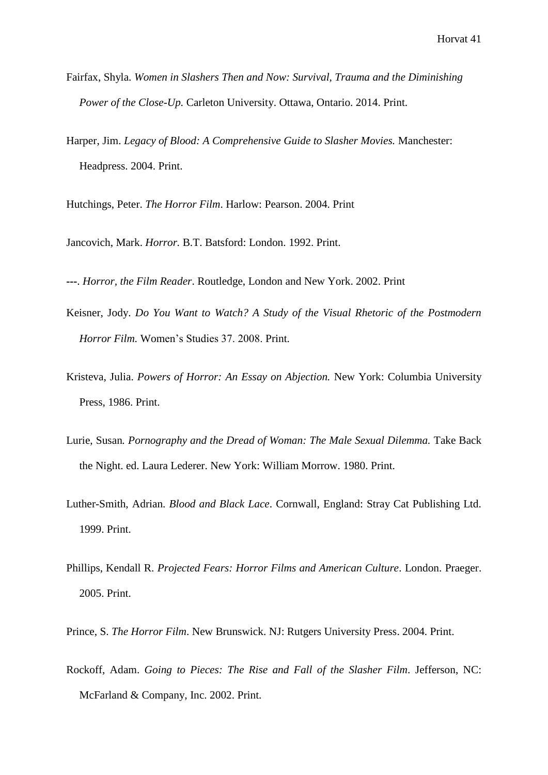- Fairfax, Shyla. *Women in Slashers Then and Now: Survival, Trauma and the Diminishing Power of the Close-Up.* Carleton University. Ottawa, Ontario. 2014. Print.
- Harper, Jim. *Legacy of Blood: A Comprehensive Guide to Slasher Movies.* Manchester: Headpress. 2004. Print.
- Hutchings, Peter. *The Horror Film*. Harlow: Pearson. 2004. Print
- Jancovich, Mark. *Horror.* B.T. Batsford: London. 1992. Print.
- **---**. *Horror, the Film Reader*. Routledge, London and New York. 2002. Print
- Keisner, Jody. *Do You Want to Watch? A Study of the Visual Rhetoric of the Postmodern Horror Film.* Women's Studies 37. 2008. Print.
- Kristeva, Julia. *Powers of Horror: An Essay on Abjection.* New York: Columbia University Press, 1986. Print.
- Lurie, Susan*. Pornography and the Dread of Woman: The Male Sexual Dilemma.* Take Back the Night. ed. Laura Lederer. New York: William Morrow. 1980. Print.
- Luther-Smith, Adrian. *Blood and Black Lace*. Cornwall, England: Stray Cat Publishing Ltd. 1999. Print.
- Phillips, Kendall R. *Projected Fears: Horror Films and American Culture*. London. Praeger. 2005. Print.
- Prince, S. *The Horror Film*. New Brunswick. NJ: Rutgers University Press. 2004. Print.
- Rockoff, Adam. *Going to Pieces: The Rise and Fall of the Slasher Film*. Jefferson, NC: McFarland & Company, Inc. 2002. Print.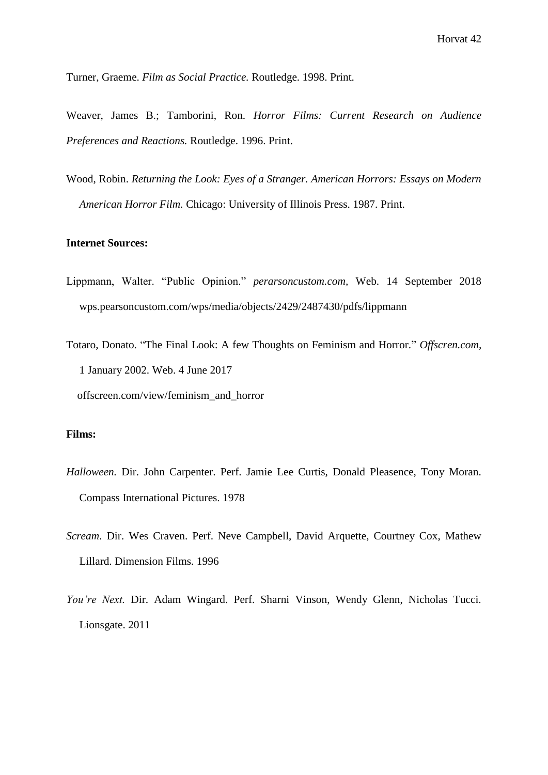Turner, Graeme. *Film as Social Practice.* Routledge. 1998. Print.

Weaver, James B.; Tamborini, Ron. *Horror Films: Current Research on Audience Preferences and Reactions.* Routledge. 1996. Print.

Wood, Robin. *Returning the Look: Eyes of a Stranger. American Horrors: Essays on Modern American Horror Film.* Chicago: University of Illinois Press. 1987. Print.

#### **Internet Sources:**

Lippmann, Walter. "Public Opinion." *perarsoncustom.com,* Web. 14 September 2018 wps.pearsoncustom.com/wps/media/objects/2429/2487430/pdfs/lippmann

Totaro, Donato. "The Final Look: A few Thoughts on Feminism and Horror." *Offscren.com,* 1 January 2002. Web. 4 June 2017 offscreen.com/view/feminism\_and\_horror

#### **Films:**

- *Halloween.* Dir. John Carpenter. Perf. Jamie Lee Curtis, Donald Pleasence, Tony Moran. Compass International Pictures. 1978
- *Scream*. Dir. Wes Craven. Perf. Neve Campbell, David Arquette, Courtney Cox, Mathew Lillard. Dimension Films. 1996
- *You're Next.* Dir. Adam Wingard. Perf. Sharni Vinson, Wendy Glenn, Nicholas Tucci. Lionsgate. 2011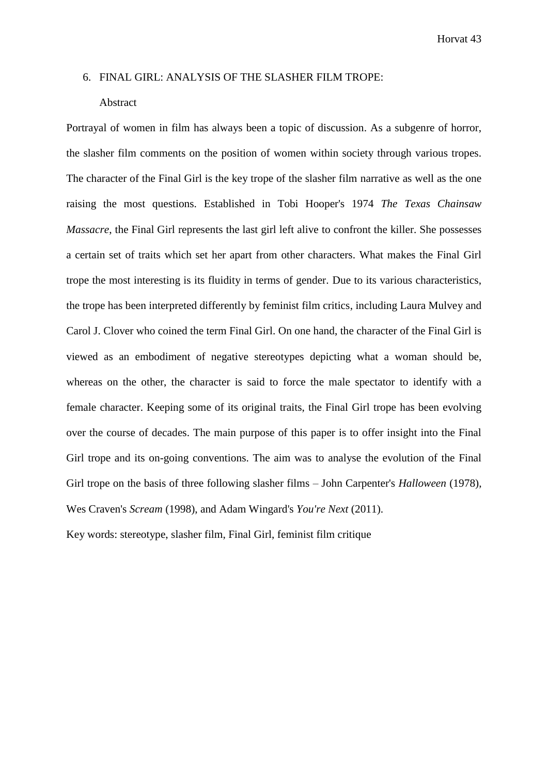#### 6. FINAL GIRL: ANALYSIS OF THE SLASHER FILM TROPE:

#### Abstract

Portrayal of women in film has always been a topic of discussion. As a subgenre of horror, the slasher film comments on the position of women within society through various tropes. The character of the Final Girl is the key trope of the slasher film narrative as well as the one raising the most questions. Established in Tobi Hooper's 1974 *The Texas Chainsaw Massacre*, the Final Girl represents the last girl left alive to confront the killer. She possesses a certain set of traits which set her apart from other characters. What makes the Final Girl trope the most interesting is its fluidity in terms of gender. Due to its various characteristics, the trope has been interpreted differently by feminist film critics, including Laura Mulvey and Carol J. Clover who coined the term Final Girl. On one hand, the character of the Final Girl is viewed as an embodiment of negative stereotypes depicting what a woman should be, whereas on the other, the character is said to force the male spectator to identify with a female character. Keeping some of its original traits, the Final Girl trope has been evolving over the course of decades. The main purpose of this paper is to offer insight into the Final Girl trope and its on-going conventions. The aim was to analyse the evolution of the Final Girl trope on the basis of three following slasher films – John Carpenter's *Halloween* (1978), Wes Craven's *Scream* (1998), and Adam Wingard's *You're Next* (2011).

Key words: stereotype, slasher film, Final Girl, feminist film critique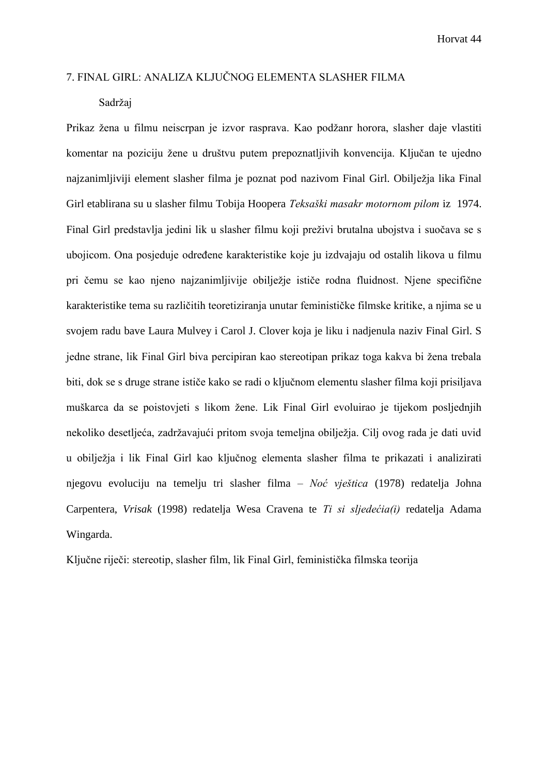### 7. FINAL GIRL: ANALIZA KLJUČNOG ELEMENTA SLASHER FILMA

#### Sadržaj

Prikaz žena u filmu neiscrpan je izvor rasprava. Kao podžanr horora, slasher daje vlastiti komentar na poziciju žene u društvu putem prepoznatljivih konvencija. Ključan te ujedno najzanimljiviji element slasher filma je poznat pod nazivom Final Girl. Obilježja lika Final Girl etablirana su u slasher filmu Tobija Hoopera *Teksaški masakr motornom pilom* iz 1974. Final Girl predstavlja jedini lik u slasher filmu koji preživi brutalna ubojstva i suočava se s ubojicom. Ona posjeduje određene karakteristike koje ju izdvajaju od ostalih likova u filmu pri čemu se kao njeno najzanimljivije obilježje ističe rodna fluidnost. Njene specifične karakteristike tema su različitih teoretiziranja unutar feminističke filmske kritike, a njima se u svojem radu bave Laura Mulvey i Carol J. Clover koja je liku i nadjenula naziv Final Girl. S jedne strane, lik Final Girl biva percipiran kao stereotipan prikaz toga kakva bi žena trebala biti, dok se s druge strane ističe kako se radi o ključnom elementu slasher filma koji prisiljava muškarca da se poistovjeti s likom žene. Lik Final Girl evoluirao je tijekom posljednjih nekoliko desetljeća, zadržavajući pritom svoja temeljna obilježja. Cilj ovog rada je dati uvid u obilježja i lik Final Girl kao ključnog elementa slasher filma te prikazati i analizirati njegovu evoluciju na temelju tri slasher filma – *Noć vještica* (1978) redatelja Johna Carpentera, *Vrisak* (1998) redatelja Wesa Cravena te *Ti si sljedećia(i)* redatelja Adama Wingarda.

Ključne riječi: stereotip, slasher film, lik Final Girl, feministička filmska teorija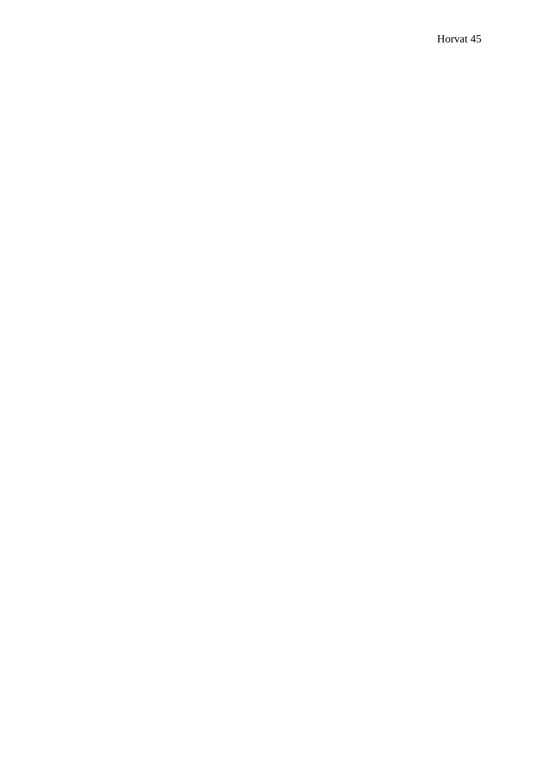Horvat 45